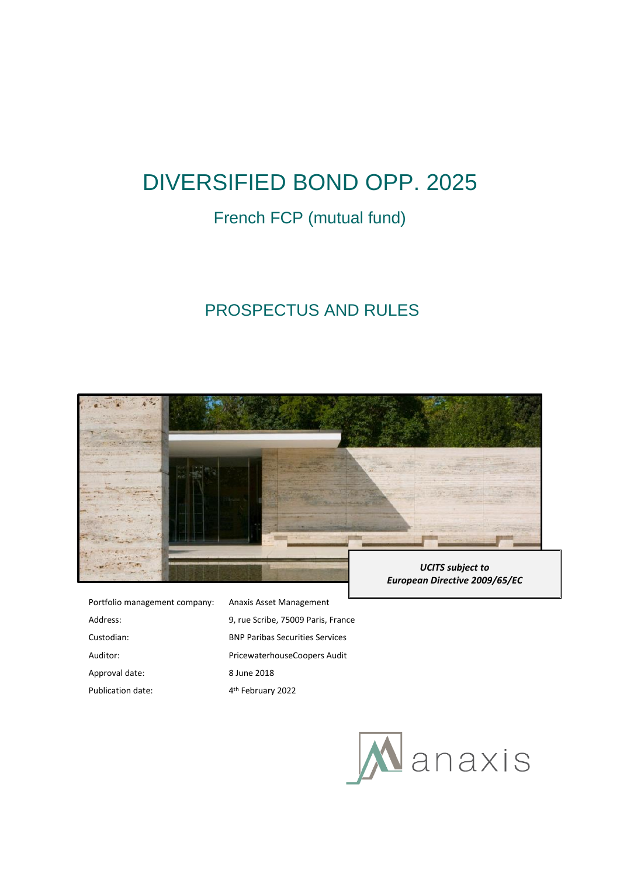# DIVERSIFIED BOND OPP. 2025

# French FCP (mutual fund)

# PROSPECTUS AND RULES



Portfolio management company: Anaxis Asset Management Address: 9, rue Scribe, 75009 Paris, France Custodian: BNP Paribas Securities Services Auditor: PricewaterhouseCoopers Audit Approval date: 8 June 2018 Publication date: 4<sup>th</sup> February 2022

*European Directive 2009/65/EC*

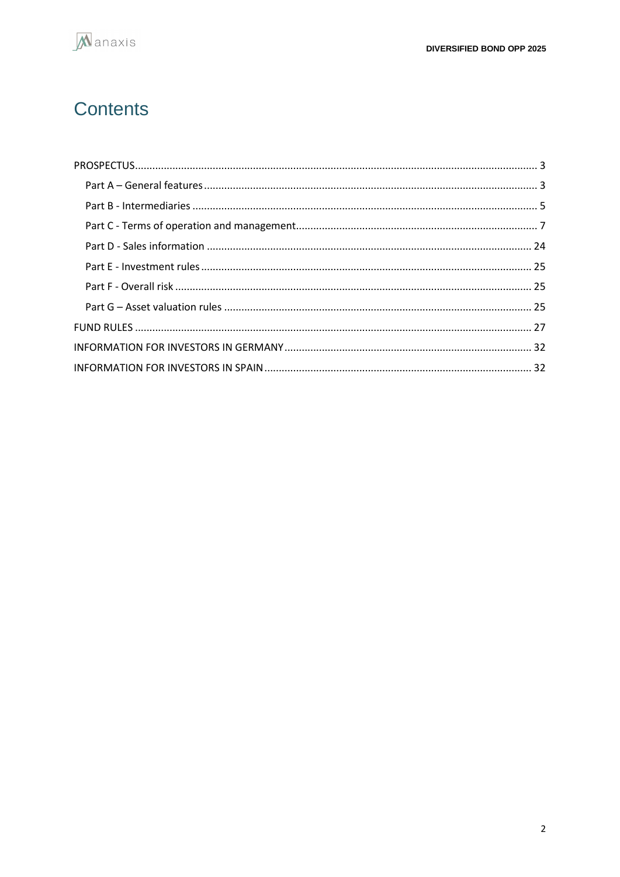

# Contents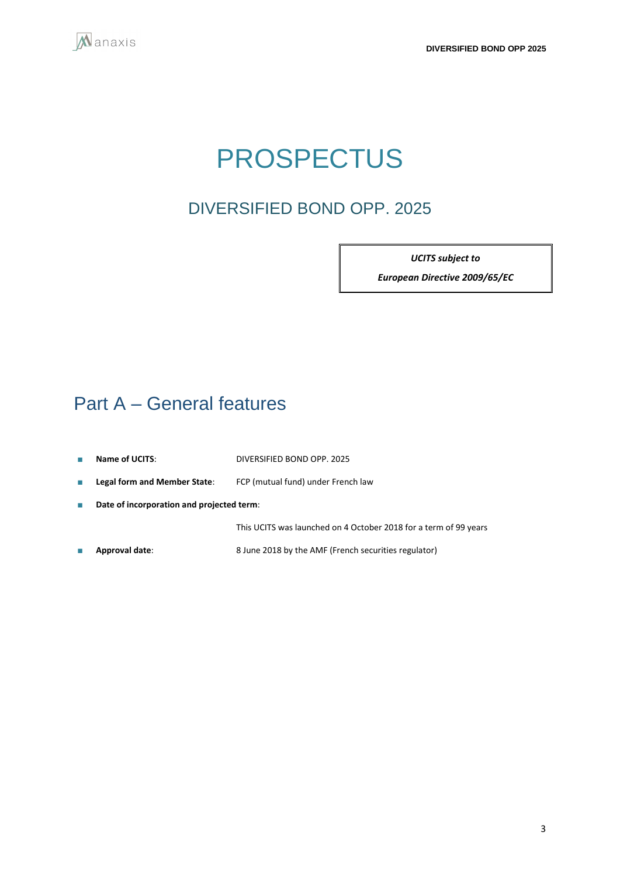<span id="page-2-0"></span>

# PROSPECTUS

# DIVERSIFIED BOND OPP. 2025

*UCITS subject to* 

*European Directive 2009/65/EC*

# <span id="page-2-1"></span>Part A – General features

- **Name of UCITS**: DIVERSIFIED BOND OPP. 2025
- **Legal form and Member State**: FCP (mutual fund) under French law
- **Date of incorporation and projected term**:

This UCITS was launched on 4 October 2018 for a term of 99 years

■ **Approval date**: 8 June 2018 by the AMF (French securities regulator)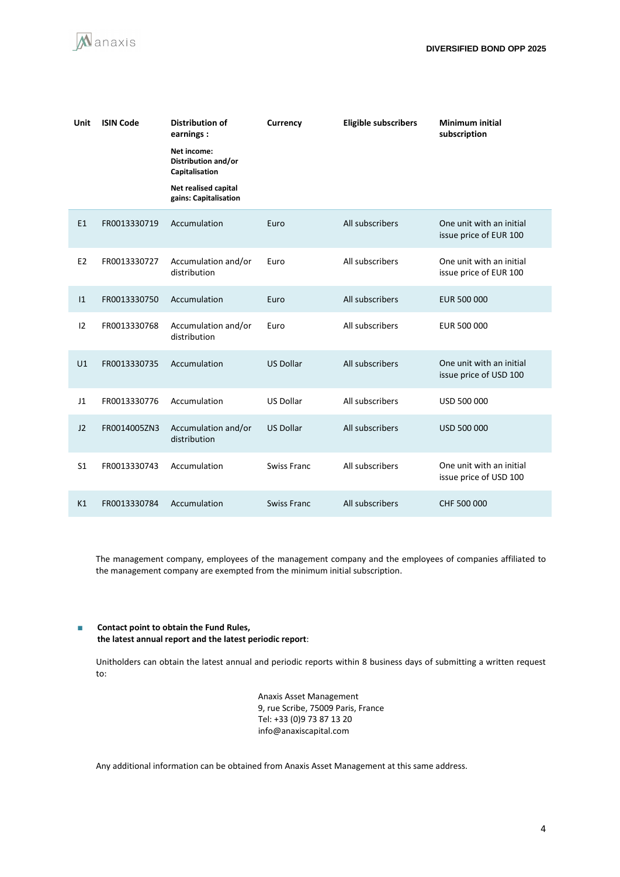

| Unit           | <b>ISIN Code</b> | <b>Distribution of</b><br>earnings:                  | Currency           | <b>Eligible subscribers</b> | <b>Minimum initial</b><br>subscription             |
|----------------|------------------|------------------------------------------------------|--------------------|-----------------------------|----------------------------------------------------|
|                |                  | Net income:<br>Distribution and/or<br>Capitalisation |                    |                             |                                                    |
|                |                  | Net realised capital<br>gains: Capitalisation        |                    |                             |                                                    |
| E1             | FR0013330719     | Accumulation                                         | Euro               | All subscribers             | One unit with an initial<br>issue price of EUR 100 |
| E <sub>2</sub> | FR0013330727     | Accumulation and/or<br>distribution                  | Euro               | All subscribers             | One unit with an initial<br>issue price of EUR 100 |
| 1              | FR0013330750     | Accumulation                                         | Euro               | All subscribers             | EUR 500 000                                        |
| 12             | FR0013330768     | Accumulation and/or<br>distribution                  | Euro               | All subscribers             | EUR 500 000                                        |
| U1             | FR0013330735     | Accumulation                                         | <b>US Dollar</b>   | All subscribers             | One unit with an initial<br>issue price of USD 100 |
| J1             | FR0013330776     | Accumulation                                         | <b>US Dollar</b>   | All subscribers             | USD 500 000                                        |
| J2             | FR0014005ZN3     | Accumulation and/or<br>distribution                  | <b>US Dollar</b>   | All subscribers             | USD 500 000                                        |
| S <sub>1</sub> | FR0013330743     | Accumulation                                         | <b>Swiss Franc</b> | All subscribers             | One unit with an initial<br>issue price of USD 100 |
| K1             | FR0013330784     | Accumulation                                         | <b>Swiss Franc</b> | All subscribers             | CHF 500 000                                        |

The management company, employees of the management company and the employees of companies affiliated to the management company are exempted from the minimum initial subscription.

#### ■ **Contact point to obtain the Fund Rules, the latest annual report and the latest periodic report**:

Unitholders can obtain the latest annual and periodic reports within 8 business days of submitting a written request to:

> Anaxis Asset Management 9, rue Scribe, 75009 Paris, France Tel: +33 (0)9 73 87 13 20 info@anaxiscapital.com

Any additional information can be obtained from Anaxis Asset Management at this same address.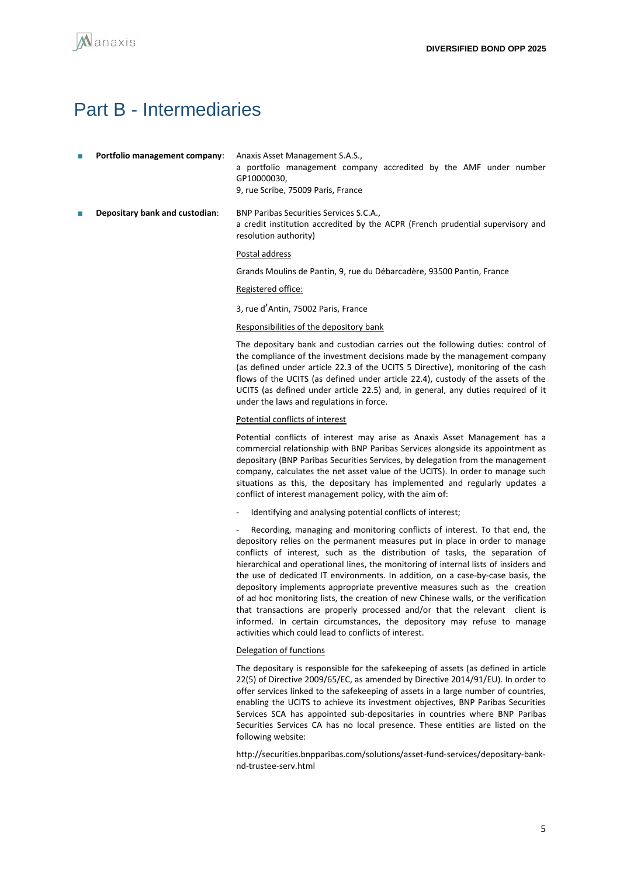# <span id="page-4-0"></span>Part B - Intermediaries

| Anaxis Asset Management S.A.S.,                                   | Portfolio management company: |  |
|-------------------------------------------------------------------|-------------------------------|--|
| a portfolio management company accredited by the AMF under number |                               |  |
|                                                                   |                               |  |
| 9. rue Scribe, 75009 Paris, France                                |                               |  |
|                                                                   |                               |  |

**Depositary bank and custodian:** BNP Paribas Securities Services S.C.A., a credit institution accredited by the ACPR (French prudential supervisory and resolution authority)

#### Postal address

Grands Moulins de Pantin, 9, rue du Débarcadère, 93500 Pantin, France

#### Registered office:

3, rue d'Antin, 75002 Paris, France

#### Responsibilities of the depository bank

The depositary bank and custodian carries out the following duties: control of the compliance of the investment decisions made by the management company (as defined under article 22.3 of the UCITS 5 Directive), monitoring of the cash flows of the UCITS (as defined under article 22.4), custody of the assets of the UCITS (as defined under article 22.5) and, in general, any duties required of it under the laws and regulations in force.

#### Potential conflicts of interest

Potential conflicts of interest may arise as Anaxis Asset Management has a commercial relationship with BNP Paribas Services alongside its appointment as depositary (BNP Paribas Securities Services, by delegation from the management company, calculates the net asset value of the UCITS). In order to manage such situations as this, the depositary has implemented and regularly updates a conflict of interest management policy, with the aim of:

Identifying and analysing potential conflicts of interest;

Recording, managing and monitoring conflicts of interest. To that end, the depository relies on the permanent measures put in place in order to manage conflicts of interest, such as the distribution of tasks, the separation of hierarchical and operational lines, the monitoring of internal lists of insiders and the use of dedicated IT environments. In addition, on a case-by-case basis, the depository implements appropriate preventive measures such as the creation of ad hoc monitoring lists, the creation of new Chinese walls, or the verification that transactions are properly processed and/or that the relevant client is informed. In certain circumstances, the depository may refuse to manage activities which could lead to conflicts of interest.

#### Delegation of functions

The depositary is responsible for the safekeeping of assets (as defined in article 22(5) of Directive 2009/65/EC, as amended by Directive 2014/91/EU). In order to offer services linked to the safekeeping of assets in a large number of countries, enabling the UCITS to achieve its investment objectives, BNP Paribas Securities Services SCA has appointed sub-depositaries in countries where BNP Paribas Securities Services CA has no local presence. These entities are listed on the following website:

http://securities.bnpparibas.com/solutions/asset-fund-services/depositary-banknd-trustee-serv.html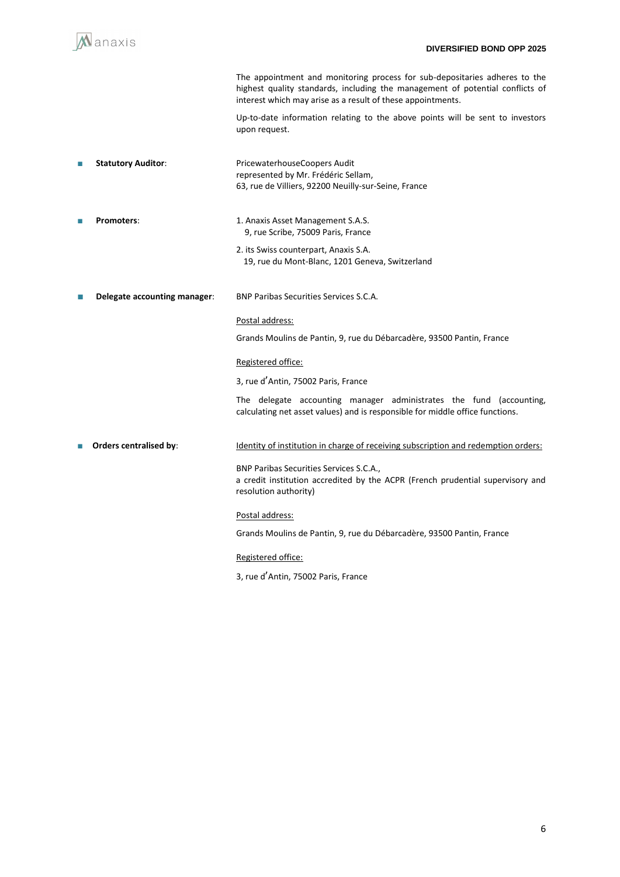

3, rue d'Antin, 75002 Paris, France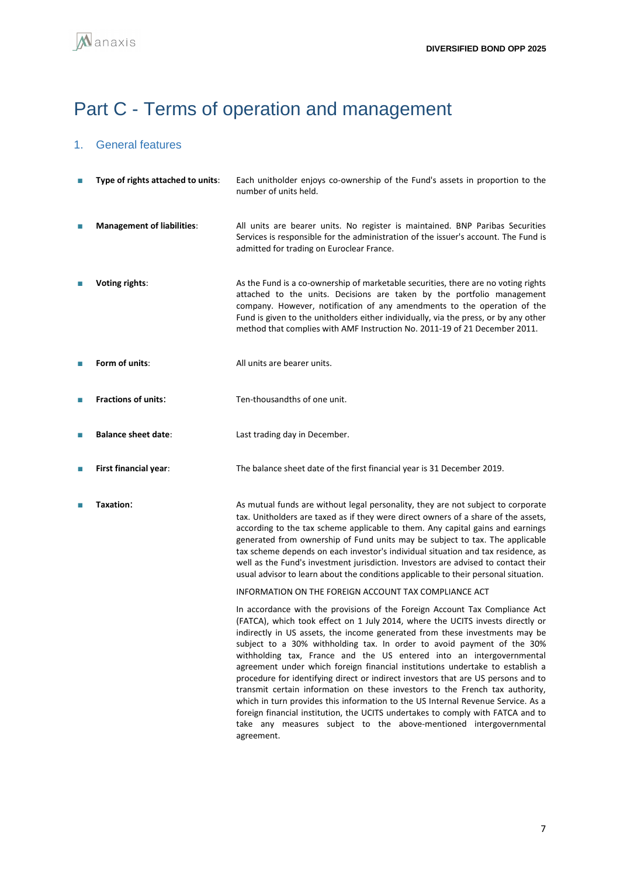# <span id="page-6-0"></span>Part C - Terms of operation and management

## 1. General features

| П      | Type of rights attached to units: | Each unitholder enjoys co-ownership of the Fund's assets in proportion to the<br>number of units held.                                                                                                                                                                                                                                                                                                                                                                                                                                                                                                                                                                                                                                                                                                                                                                                                          |
|--------|-----------------------------------|-----------------------------------------------------------------------------------------------------------------------------------------------------------------------------------------------------------------------------------------------------------------------------------------------------------------------------------------------------------------------------------------------------------------------------------------------------------------------------------------------------------------------------------------------------------------------------------------------------------------------------------------------------------------------------------------------------------------------------------------------------------------------------------------------------------------------------------------------------------------------------------------------------------------|
|        | <b>Management of liabilities:</b> | All units are bearer units. No register is maintained. BNP Paribas Securities<br>Services is responsible for the administration of the issuer's account. The Fund is<br>admitted for trading on Euroclear France.                                                                                                                                                                                                                                                                                                                                                                                                                                                                                                                                                                                                                                                                                               |
| П      | Voting rights:                    | As the Fund is a co-ownership of marketable securities, there are no voting rights<br>attached to the units. Decisions are taken by the portfolio management<br>company. However, notification of any amendments to the operation of the<br>Fund is given to the unitholders either individually, via the press, or by any other<br>method that complies with AMF Instruction No. 2011-19 of 21 December 2011.                                                                                                                                                                                                                                                                                                                                                                                                                                                                                                  |
| П      | Form of units:                    | All units are bearer units.                                                                                                                                                                                                                                                                                                                                                                                                                                                                                                                                                                                                                                                                                                                                                                                                                                                                                     |
| П      | <b>Fractions of units:</b>        | Ten-thousandths of one unit.                                                                                                                                                                                                                                                                                                                                                                                                                                                                                                                                                                                                                                                                                                                                                                                                                                                                                    |
| П      | <b>Balance sheet date:</b>        | Last trading day in December.                                                                                                                                                                                                                                                                                                                                                                                                                                                                                                                                                                                                                                                                                                                                                                                                                                                                                   |
| $\Box$ | First financial year:             | The balance sheet date of the first financial year is 31 December 2019.                                                                                                                                                                                                                                                                                                                                                                                                                                                                                                                                                                                                                                                                                                                                                                                                                                         |
| П      | Taxation:                         | As mutual funds are without legal personality, they are not subject to corporate<br>tax. Unitholders are taxed as if they were direct owners of a share of the assets,<br>according to the tax scheme applicable to them. Any capital gains and earnings<br>generated from ownership of Fund units may be subject to tax. The applicable<br>tax scheme depends on each investor's individual situation and tax residence, as<br>well as the Fund's investment jurisdiction. Investors are advised to contact their<br>usual advisor to learn about the conditions applicable to their personal situation.                                                                                                                                                                                                                                                                                                       |
|        |                                   | INFORMATION ON THE FOREIGN ACCOUNT TAX COMPLIANCE ACT                                                                                                                                                                                                                                                                                                                                                                                                                                                                                                                                                                                                                                                                                                                                                                                                                                                           |
|        |                                   | In accordance with the provisions of the Foreign Account Tax Compliance Act<br>(FATCA), which took effect on 1 July 2014, where the UCITS invests directly or<br>indirectly in US assets, the income generated from these investments may be<br>subject to a 30% withholding tax. In order to avoid payment of the 30%<br>withholding tax, France and the US entered into an intergovernmental<br>agreement under which foreign financial institutions undertake to establish a<br>procedure for identifying direct or indirect investors that are US persons and to<br>transmit certain information on these investors to the French tax authority,<br>which in turn provides this information to the US Internal Revenue Service. As a<br>foreign financial institution, the UCITS undertakes to comply with FATCA and to<br>take any measures subject to the above-mentioned intergovernmental<br>agreement. |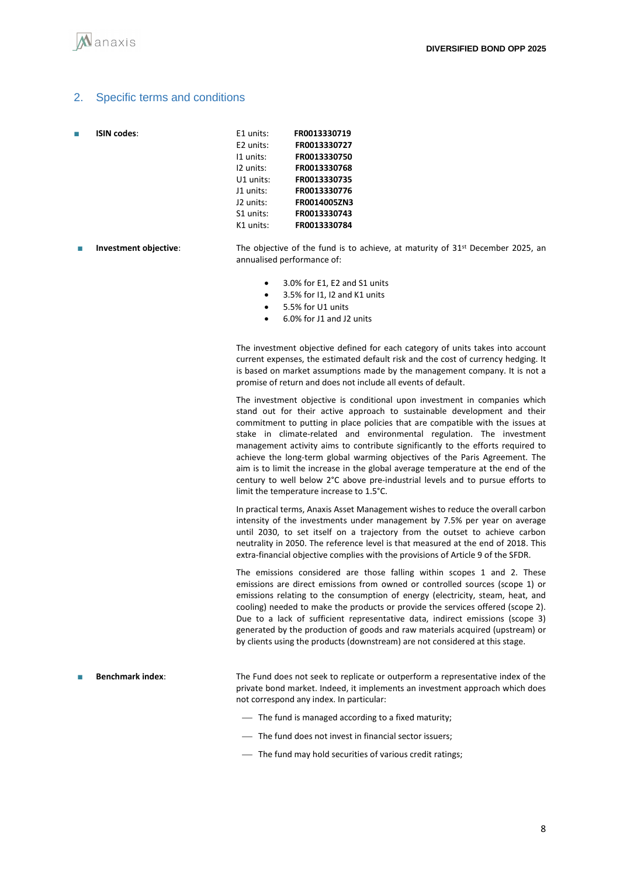### 2. Specific terms and conditions

| П | <b>ISIN codes:</b> | E1 units:   | FR0013330719 |
|---|--------------------|-------------|--------------|
|   |                    | E2 units:   | FR0013330727 |
|   |                    | 11 units:   | FR0013330750 |
|   |                    | 12 units:   | FR0013330768 |
|   |                    | $U1$ units: | FR0013330735 |
|   |                    | J1 units:   | FR0013330776 |
|   |                    | J2 units:   | FR0014005ZN3 |
|   |                    | S1 units:   | FR0013330743 |
|   |                    | K1 units:   | FR0013330784 |
|   |                    |             |              |

- **Investment objective**: The objective of the fund is to achieve, at maturity of 31<sup>st</sup> December 2025, an annualised performance of:
	- 3.0% for E1, E2 and S1 units
	- 3.5% for I1, I2 and K1 units
	- 5.5% for U1 units
	- 6.0% for J1 and J2 units

The investment objective defined for each category of units takes into account current expenses, the estimated default risk and the cost of currency hedging. It is based on market assumptions made by the management company. It is not a promise of return and does not include all events of default.

The investment objective is conditional upon investment in companies which stand out for their active approach to sustainable development and their commitment to putting in place policies that are compatible with the issues at stake in climate-related and environmental regulation. The investment management activity aims to contribute significantly to the efforts required to achieve the long-term global warming objectives of the Paris Agreement. The aim is to limit the increase in the global average temperature at the end of the century to well below 2°C above pre‐industrial levels and to pursue efforts to limit the temperature increase to 1.5°C.

In practical terms, Anaxis Asset Management wishes to reduce the overall carbon intensity of the investments under management by 7.5% per year on average until 2030, to set itself on a trajectory from the outset to achieve carbon neutrality in 2050. The reference level is that measured at the end of 2018. This extra-financial objective complies with the provisions of Article 9 of the SFDR.

The emissions considered are those falling within scopes 1 and 2. These emissions are direct emissions from owned or controlled sources (scope 1) or emissions relating to the consumption of energy (electricity, steam, heat, and cooling) needed to make the products or provide the services offered (scope 2). Due to a lack of sufficient representative data, indirect emissions (scope 3) generated by the production of goods and raw materials acquired (upstream) or by clients using the products (downstream) are not considered at this stage.

- Benchmark index: The Fund does not seek to replicate or outperform a representative index of the private bond market. Indeed, it implements an investment approach which does not correspond any index. In particular:
	- The fund is managed according to a fixed maturity;
	- ⎯ The fund does not invest in financial sector issuers;
	- $\overline{\phantom{a}}$  The fund may hold securities of various credit ratings;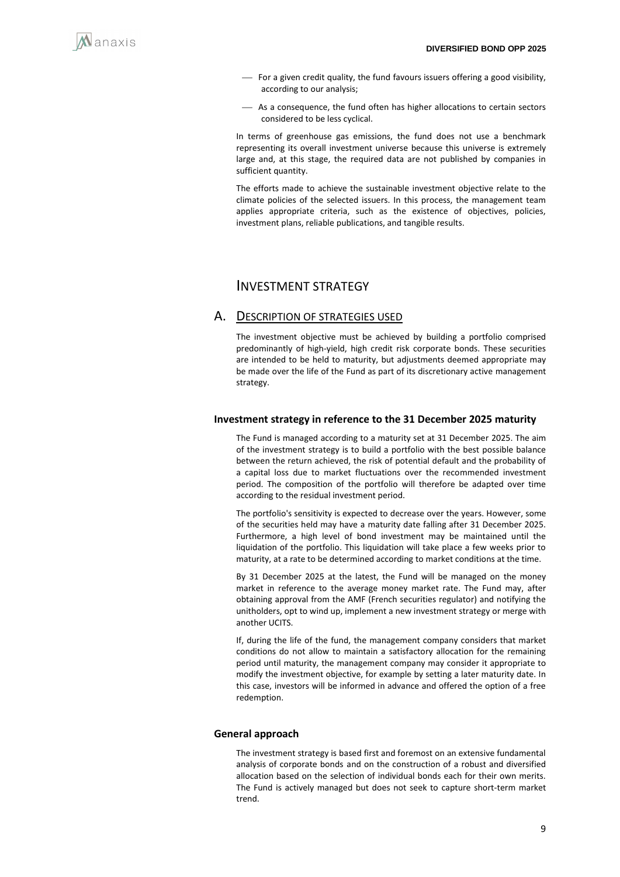

- ⎯ For a given credit quality, the fund favours issuers offering a good visibility, according to our analysis;
- As a consequence, the fund often has higher allocations to certain sectors considered to be less cyclical.

In terms of greenhouse gas emissions, the fund does not use a benchmark representing its overall investment universe because this universe is extremely large and, at this stage, the required data are not published by companies in sufficient quantity.

The efforts made to achieve the sustainable investment objective relate to the climate policies of the selected issuers. In this process, the management team applies appropriate criteria, such as the existence of objectives, policies, investment plans, reliable publications, and tangible results.

## INVESTMENT STRATEGY

### A. DESCRIPTION OF STRATEGIES USED

The investment objective must be achieved by building a portfolio comprised predominantly of high-yield, high credit risk corporate bonds. These securities are intended to be held to maturity, but adjustments deemed appropriate may be made over the life of the Fund as part of its discretionary active management strategy.

#### **Investment strategy in reference to the 31 December 2025 maturity**

The Fund is managed according to a maturity set at 31 December 2025. The aim of the investment strategy is to build a portfolio with the best possible balance between the return achieved, the risk of potential default and the probability of a capital loss due to market fluctuations over the recommended investment period. The composition of the portfolio will therefore be adapted over time according to the residual investment period.

The portfolio's sensitivity is expected to decrease over the years. However, some of the securities held may have a maturity date falling after 31 December 2025. Furthermore, a high level of bond investment may be maintained until the liquidation of the portfolio. This liquidation will take place a few weeks prior to maturity, at a rate to be determined according to market conditions at the time.

By 31 December 2025 at the latest, the Fund will be managed on the money market in reference to the average money market rate. The Fund may, after obtaining approval from the AMF (French securities regulator) and notifying the unitholders, opt to wind up, implement a new investment strategy or merge with another UCITS.

If, during the life of the fund, the management company considers that market conditions do not allow to maintain a satisfactory allocation for the remaining period until maturity, the management company may consider it appropriate to modify the investment objective, for example by setting a later maturity date. In this case, investors will be informed in advance and offered the option of a free redemption.

#### **General approach**

The investment strategy is based first and foremost on an extensive fundamental analysis of corporate bonds and on the construction of a robust and diversified allocation based on the selection of individual bonds each for their own merits. The Fund is actively managed but does not seek to capture short-term market trend.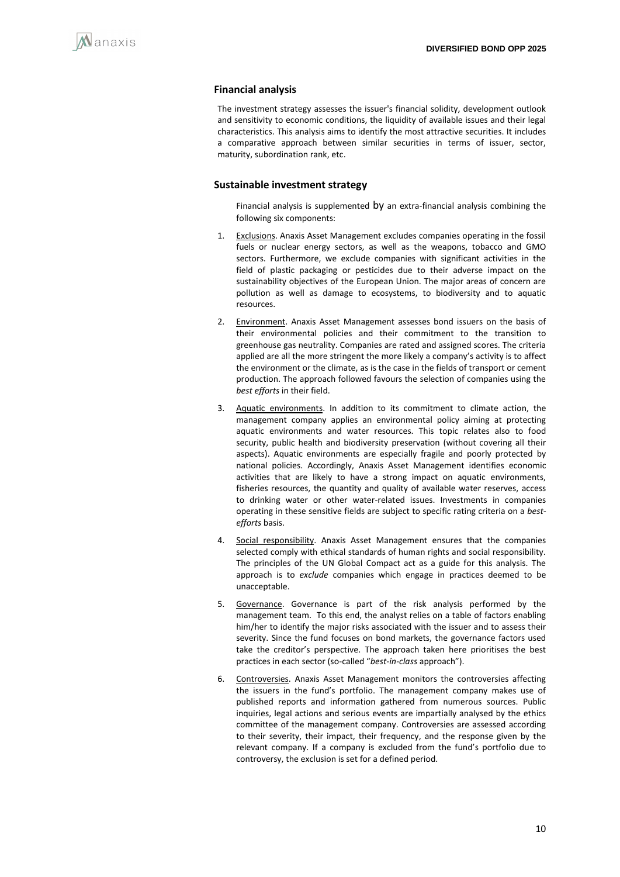#### **Financial analysis**

The investment strategy assesses the issuer's financial solidity, development outlook and sensitivity to economic conditions, the liquidity of available issues and their legal characteristics. This analysis aims to identify the most attractive securities. It includes a comparative approach between similar securities in terms of issuer, sector, maturity, subordination rank, etc.

#### **Sustainable investment strategy**

Financial analysis is supplemented by an extra-financial analysis combining the following six components:

- 1. Exclusions. Anaxis Asset Management excludes companies operating in the fossil fuels or nuclear energy sectors, as well as the weapons, tobacco and GMO sectors. Furthermore, we exclude companies with significant activities in the field of plastic packaging or pesticides due to their adverse impact on the sustainability objectives of the European Union. The major areas of concern are pollution as well as damage to ecosystems, to biodiversity and to aquatic resources.
- 2. Environment. Anaxis Asset Management assesses bond issuers on the basis of their environmental policies and their commitment to the transition to greenhouse gas neutrality. Companies are rated and assigned scores. The criteria applied are all the more stringent the more likely a company's activity is to affect the environment or the climate, as is the case in the fields of transport or cement production. The approach followed favours the selection of companies using the *best efforts* in their field.
- 3. Aquatic environments. In addition to its commitment to climate action, the management company applies an environmental policy aiming at protecting aquatic environments and water resources. This topic relates also to food security, public health and biodiversity preservation (without covering all their aspects). Aquatic environments are especially fragile and poorly protected by national policies. Accordingly, Anaxis Asset Management identifies economic activities that are likely to have a strong impact on aquatic environments, fisheries resources, the quantity and quality of available water reserves, access to drinking water or other water-related issues. Investments in companies operating in these sensitive fields are subject to specific rating criteria on a *bestefforts* basis.
- 4. Social responsibility. Anaxis Asset Management ensures that the companies selected comply with ethical standards of human rights and social responsibility. The principles of the UN Global Compact act as a guide for this analysis. The approach is to *exclude* companies which engage in practices deemed to be unacceptable.
- 5. Governance. Governance is part of the risk analysis performed by the management team. To this end, the analyst relies on a table of factors enabling him/her to identify the major risks associated with the issuer and to assess their severity. Since the fund focuses on bond markets, the governance factors used take the creditor's perspective. The approach taken here prioritises the best practices in each sector (so-called "*best-in-class* approach").
- 6. Controversies. Anaxis Asset Management monitors the controversies affecting the issuers in the fund's portfolio. The management company makes use of published reports and information gathered from numerous sources. Public inquiries, legal actions and serious events are impartially analysed by the ethics committee of the management company. Controversies are assessed according to their severity, their impact, their frequency, and the response given by the relevant company. If a company is excluded from the fund's portfolio due to controversy, the exclusion is set for a defined period.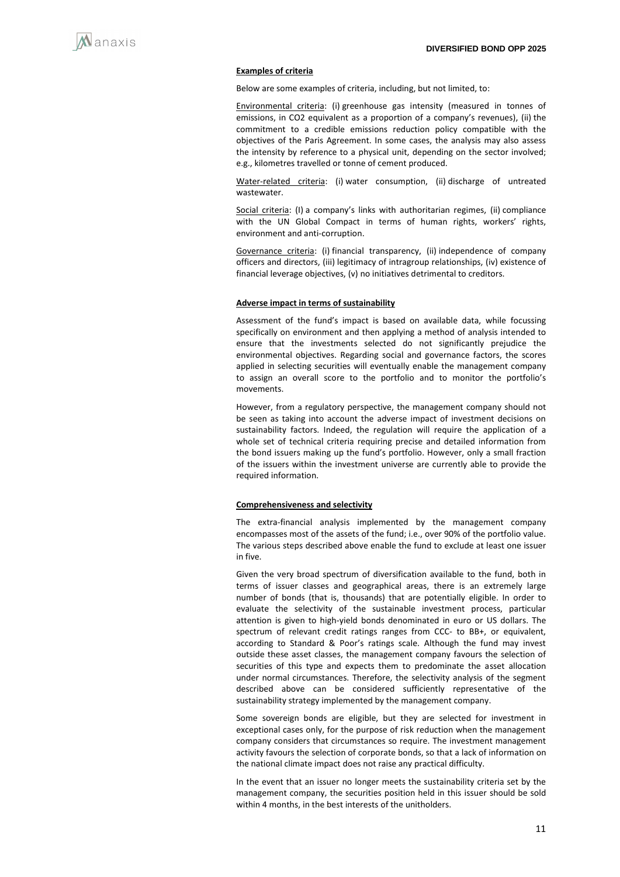

#### **Examples of criteria**

Below are some examples of criteria, including, but not limited, to:

Environmental criteria: (i) greenhouse gas intensity (measured in tonnes of emissions, in CO2 equivalent as a proportion of a company's revenues), (ii) the commitment to a credible emissions reduction policy compatible with the objectives of the Paris Agreement. In some cases, the analysis may also assess the intensity by reference to a physical unit, depending on the sector involved; e.g., kilometres travelled or tonne of cement produced.

Water-related criteria: (i) water consumption, (ii) discharge of untreated wastewater.

Social criteria: (I) a company's links with authoritarian regimes, (ii) compliance with the UN Global Compact in terms of human rights, workers' rights, environment and anti-corruption.

Governance criteria: (i) financial transparency, (ii) independence of company officers and directors, (iii) legitimacy of intragroup relationships, (iv) existence of financial leverage objectives, (v) no initiatives detrimental to creditors.

#### **Adverse impact in terms of sustainability**

Assessment of the fund's impact is based on available data, while focussing specifically on environment and then applying a method of analysis intended to ensure that the investments selected do not significantly prejudice the environmental objectives. Regarding social and governance factors, the scores applied in selecting securities will eventually enable the management company to assign an overall score to the portfolio and to monitor the portfolio's movements.

However, from a regulatory perspective, the management company should not be seen as taking into account the adverse impact of investment decisions on sustainability factors. Indeed, the regulation will require the application of a whole set of technical criteria requiring precise and detailed information from the bond issuers making up the fund's portfolio. However, only a small fraction of the issuers within the investment universe are currently able to provide the required information.

#### **Comprehensiveness and selectivity**

The extra-financial analysis implemented by the management company encompasses most of the assets of the fund; i.e., over 90% of the portfolio value. The various steps described above enable the fund to exclude at least one issuer in five.

Given the very broad spectrum of diversification available to the fund, both in terms of issuer classes and geographical areas, there is an extremely large number of bonds (that is, thousands) that are potentially eligible. In order to evaluate the selectivity of the sustainable investment process, particular attention is given to high-yield bonds denominated in euro or US dollars. The spectrum of relevant credit ratings ranges from CCC- to BB+, or equivalent, according to Standard & Poor's ratings scale. Although the fund may invest outside these asset classes, the management company favours the selection of securities of this type and expects them to predominate the asset allocation under normal circumstances. Therefore, the selectivity analysis of the segment described above can be considered sufficiently representative of the sustainability strategy implemented by the management company.

Some sovereign bonds are eligible, but they are selected for investment in exceptional cases only, for the purpose of risk reduction when the management company considers that circumstances so require. The investment management activity favours the selection of corporate bonds, so that a lack of information on the national climate impact does not raise any practical difficulty.

In the event that an issuer no longer meets the sustainability criteria set by the management company, the securities position held in this issuer should be sold within 4 months, in the best interests of the unitholders.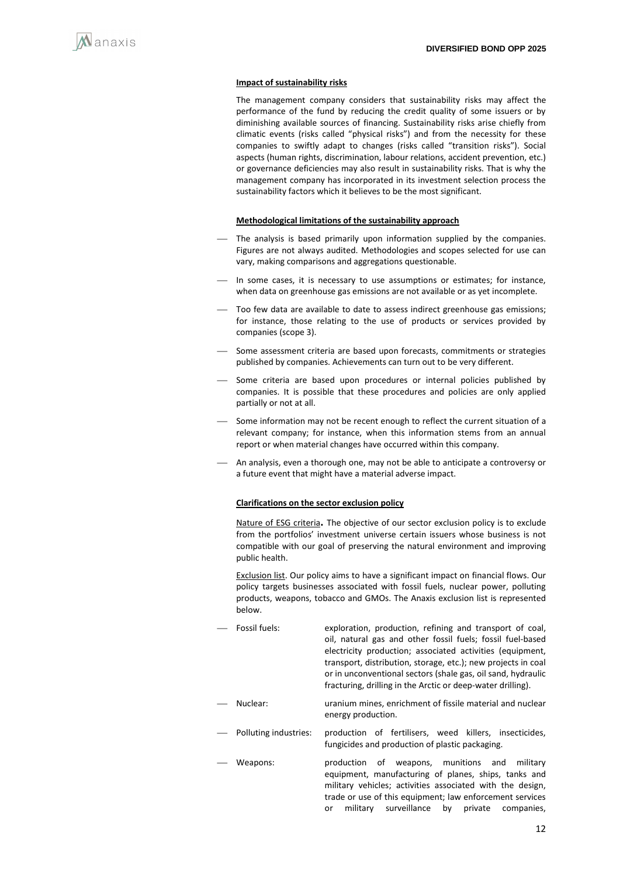

#### **Impact of sustainability risks**

The management company considers that sustainability risks may affect the performance of the fund by reducing the credit quality of some issuers or by diminishing available sources of financing. Sustainability risks arise chiefly from climatic events (risks called "physical risks") and from the necessity for these companies to swiftly adapt to changes (risks called "transition risks"). Social aspects (human rights, discrimination, labour relations, accident prevention, etc.) or governance deficiencies may also result in sustainability risks. That is why the management company has incorporated in its investment selection process the sustainability factors which it believes to be the most significant.

#### **Methodological limitations of the sustainability approach**

- The analysis is based primarily upon information supplied by the companies. Figures are not always audited. Methodologies and scopes selected for use can vary, making comparisons and aggregations questionable.
- In some cases, it is necessary to use assumptions or estimates; for instance, when data on greenhouse gas emissions are not available or as yet incomplete.
- Too few data are available to date to assess indirect greenhouse gas emissions; for instance, those relating to the use of products or services provided by companies (scope 3).
- Some assessment criteria are based upon forecasts, commitments or strategies published by companies. Achievements can turn out to be very different.
- Some criteria are based upon procedures or internal policies published by companies. It is possible that these procedures and policies are only applied partially or not at all.
- Some information may not be recent enough to reflect the current situation of a relevant company; for instance, when this information stems from an annual report or when material changes have occurred within this company.
- An analysis, even a thorough one, may not be able to anticipate a controversy or a future event that might have a material adverse impact.

#### **Clarifications on the sector exclusion policy**

Nature of ESG criteria**.** The objective of our sector exclusion policy is to exclude from the portfolios' investment universe certain issuers whose business is not compatible with our goal of preserving the natural environment and improving public health.

Exclusion list. Our policy aims to have a significant impact on financial flows. Our policy targets businesses associated with fossil fuels, nuclear power, polluting products, weapons, tobacco and GMOs. The Anaxis exclusion list is represented below.

- Fossil fuels: exploration, production, refining and transport of coal, oil, natural gas and other fossil fuels; fossil fuel-based electricity production; associated activities (equipment, transport, distribution, storage, etc.); new projects in coal or in unconventional sectors (shale gas, oil sand, hydraulic fracturing, drilling in the Arctic or deep-water drilling).
- Nuclear: uranium mines, enrichment of fissile material and nuclear energy production.
	- Polluting industries: production of fertilisers, weed killers, insecticides, fungicides and production of plastic packaging.
- ⎯ Weapons: production of weapons, munitions and military equipment, manufacturing of planes, ships, tanks and military vehicles; activities associated with the design, trade or use of this equipment; law enforcement services or military surveillance by private companies,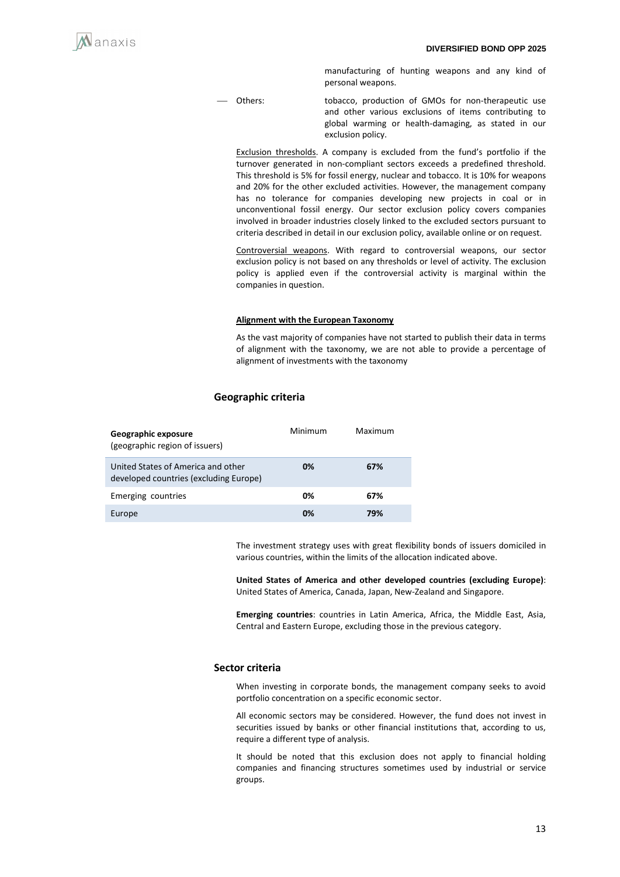

manufacturing of hunting weapons and any kind of personal weapons.

⎯ Others: tobacco, production of GMOs for non-therapeutic use and other various exclusions of items contributing to global warming or health-damaging, as stated in our exclusion policy.

Exclusion thresholds. A company is excluded from the fund's portfolio if the turnover generated in non-compliant sectors exceeds a predefined threshold. This threshold is 5% for fossil energy, nuclear and tobacco. It is 10% for weapons and 20% for the other excluded activities. However, the management company has no tolerance for companies developing new projects in coal or in unconventional fossil energy. Our sector exclusion policy covers companies involved in broader industries closely linked to the excluded sectors pursuant to criteria described in detail in our exclusion policy, available online or on request.

Controversial weapons. With regard to controversial weapons, our sector exclusion policy is not based on any thresholds or level of activity. The exclusion policy is applied even if the controversial activity is marginal within the companies in question.

#### **Alignment with the European Taxonomy**

As the vast majority of companies have not started to publish their data in terms of alignment with the taxonomy, we are not able to provide a percentage of alignment of investments with the taxonomy

#### **Geographic criteria**

| Geographic exposure<br>(geographic region of issuers)                        | Minimum | Maximum |
|------------------------------------------------------------------------------|---------|---------|
| United States of America and other<br>developed countries (excluding Europe) | 0%      | 67%     |
| Emerging countries                                                           | 0%      | 67%     |
| Europe                                                                       | 0%      | 79%     |

The investment strategy uses with great flexibility bonds of issuers domiciled in various countries, within the limits of the allocation indicated above.

**United States of America and other developed countries (excluding Europe)**: United States of America, Canada, Japan, New-Zealand and Singapore.

**Emerging countries**: countries in Latin America, Africa, the Middle East, Asia, Central and Eastern Europe, excluding those in the previous category.

#### **Sector criteria**

When investing in corporate bonds, the management company seeks to avoid portfolio concentration on a specific economic sector.

All economic sectors may be considered. However, the fund does not invest in securities issued by banks or other financial institutions that, according to us, require a different type of analysis.

It should be noted that this exclusion does not apply to financial holding companies and financing structures sometimes used by industrial or service groups.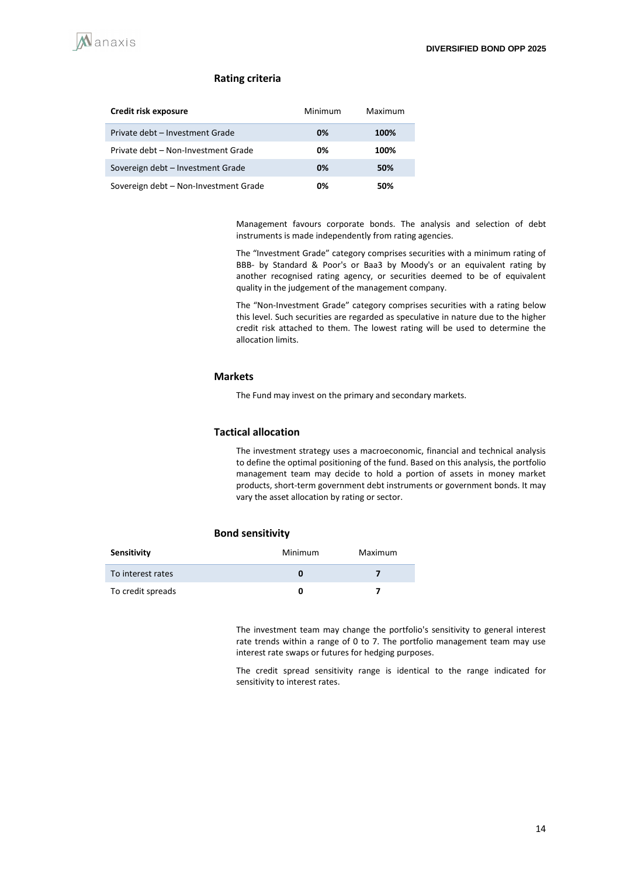#### **Rating criteria**

| Credit risk exposure                  | Minimum | Maximum |
|---------------------------------------|---------|---------|
| Private debt - Investment Grade       | 0%      | 100%    |
| Private debt - Non-Investment Grade   | 0%      | 100%    |
| Sovereign debt - Investment Grade     | 0%      | 50%     |
| Sovereign debt - Non-Investment Grade | 0%      | 50%     |

Management favours corporate bonds. The analysis and selection of debt instruments is made independently from rating agencies.

The "Investment Grade" category comprises securities with a minimum rating of BBB- by Standard & Poor's or Baa3 by Moody's or an equivalent rating by another recognised rating agency, or securities deemed to be of equivalent quality in the judgement of the management company.

The "Non-Investment Grade" category comprises securities with a rating below this level. Such securities are regarded as speculative in nature due to the higher credit risk attached to them. The lowest rating will be used to determine the allocation limits.

#### **Markets**

The Fund may invest on the primary and secondary markets.

#### **Tactical allocation**

The investment strategy uses a macroeconomic, financial and technical analysis to define the optimal positioning of the fund. Based on this analysis, the portfolio management team may decide to hold a portion of assets in money market products, short-term government debt instruments or government bonds. It may vary the asset allocation by rating or sector.

#### **Bond sensitivity**

| Sensitivity       | Minimum | Maximum |
|-------------------|---------|---------|
| To interest rates |         |         |
| To credit spreads |         |         |

The investment team may change the portfolio's sensitivity to general interest rate trends within a range of 0 to 7. The portfolio management team may use interest rate swaps or futures for hedging purposes.

The credit spread sensitivity range is identical to the range indicated for sensitivity to interest rates.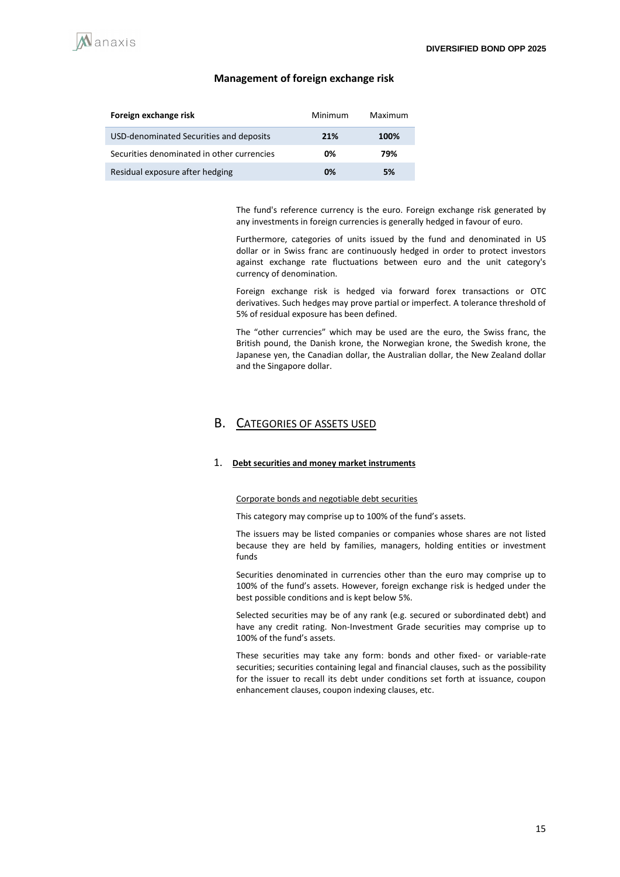

#### **Management of foreign exchange risk**

| Foreign exchange risk                      | Minimum | Maximum |
|--------------------------------------------|---------|---------|
| USD-denominated Securities and deposits    | 21%     | 100%    |
| Securities denominated in other currencies | 0%      | 79%     |
| Residual exposure after hedging            | 0%      | 5%      |

The fund's reference currency is the euro. Foreign exchange risk generated by any investments in foreign currencies is generally hedged in favour of euro.

Furthermore, categories of units issued by the fund and denominated in US dollar or in Swiss franc are continuously hedged in order to protect investors against exchange rate fluctuations between euro and the unit category's currency of denomination.

Foreign exchange risk is hedged via forward forex transactions or OTC derivatives. Such hedges may prove partial or imperfect. A tolerance threshold of 5% of residual exposure has been defined.

The "other currencies" which may be used are the euro, the Swiss franc, the British pound, the Danish krone, the Norwegian krone, the Swedish krone, the Japanese yen, the Canadian dollar, the Australian dollar, the New Zealand dollar and the Singapore dollar.

## B. CATEGORIES OF ASSETS USED

#### 1. **Debt securities and money market instruments**

#### Corporate bonds and negotiable debt securities

This category may comprise up to 100% of the fund's assets.

The issuers may be listed companies or companies whose shares are not listed because they are held by families, managers, holding entities or investment funds

Securities denominated in currencies other than the euro may comprise up to 100% of the fund's assets. However, foreign exchange risk is hedged under the best possible conditions and is kept below 5%.

Selected securities may be of any rank (e.g. secured or subordinated debt) and have any credit rating. Non-Investment Grade securities may comprise up to 100% of the fund's assets.

These securities may take any form: bonds and other fixed- or variable-rate securities; securities containing legal and financial clauses, such as the possibility for the issuer to recall its debt under conditions set forth at issuance, coupon enhancement clauses, coupon indexing clauses, etc.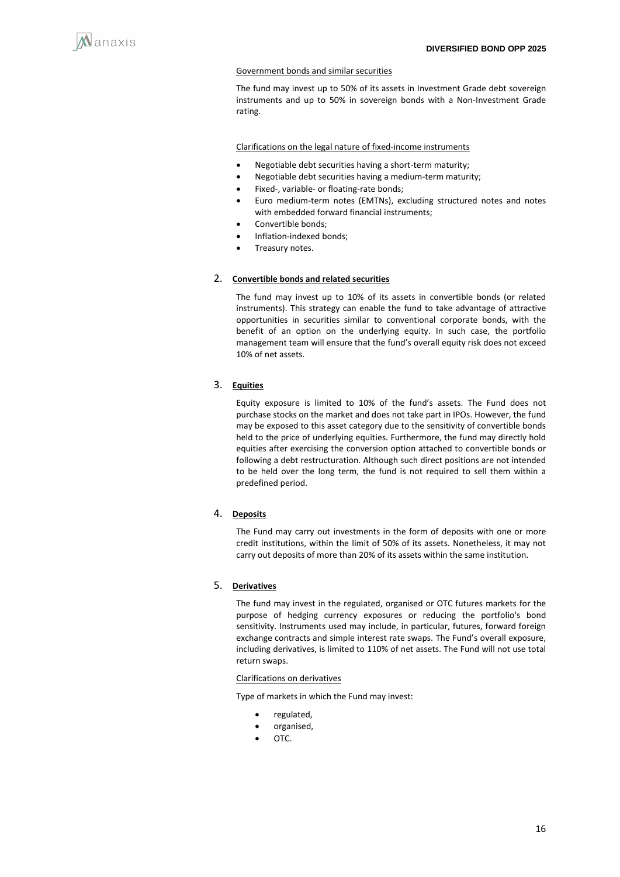

#### Government bonds and similar securities

The fund may invest up to 50% of its assets in Investment Grade debt sovereign instruments and up to 50% in sovereign bonds with a Non-Investment Grade rating.

Clarifications on the legal nature of fixed-income instruments

- Negotiable debt securities having a short-term maturity;
- Negotiable debt securities having a medium-term maturity;
- Fixed-, variable- or floating-rate bonds;
- Euro medium-term notes (EMTNs), excluding structured notes and notes with embedded forward financial instruments;
- Convertible bonds;
- Inflation-indexed bonds;
- Treasury notes.

#### 2. **Convertible bonds and related securities**

The fund may invest up to 10% of its assets in convertible bonds (or related instruments). This strategy can enable the fund to take advantage of attractive opportunities in securities similar to conventional corporate bonds, with the benefit of an option on the underlying equity. In such case, the portfolio management team will ensure that the fund's overall equity risk does not exceed 10% of net assets.

## 3. **Equities**

Equity exposure is limited to 10% of the fund's assets. The Fund does not purchase stocks on the market and does not take part in IPOs. However, the fund may be exposed to this asset category due to the sensitivity of convertible bonds held to the price of underlying equities. Furthermore, the fund may directly hold equities after exercising the conversion option attached to convertible bonds or following a debt restructuration. Although such direct positions are not intended to be held over the long term, the fund is not required to sell them within a predefined period.

#### 4. **Deposits**

The Fund may carry out investments in the form of deposits with one or more credit institutions, within the limit of 50% of its assets. Nonetheless, it may not carry out deposits of more than 20% of its assets within the same institution.

#### 5. **Derivatives**

The fund may invest in the regulated, organised or OTC futures markets for the purpose of hedging currency exposures or reducing the portfolio's bond sensitivity. Instruments used may include, in particular, futures, forward foreign exchange contracts and simple interest rate swaps. The Fund's overall exposure, including derivatives, is limited to 110% of net assets. The Fund will not use total return swaps.

#### Clarifications on derivatives

Type of markets in which the Fund may invest:

- regulated,
- organised,
- OTC.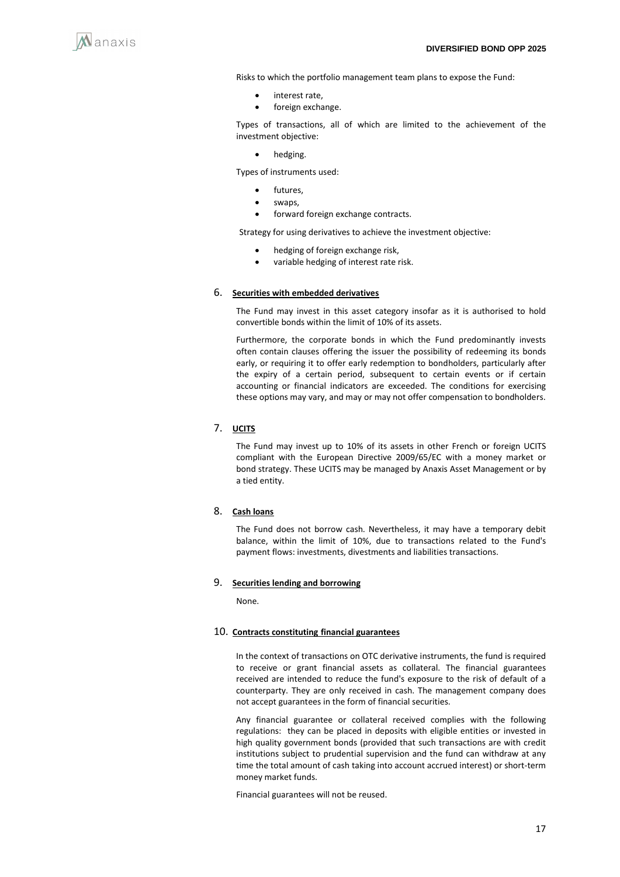

Risks to which the portfolio management team plans to expose the Fund:

- interest rate,
- foreign exchange.

Types of transactions, all of which are limited to the achievement of the investment objective:

• hedging.

Types of instruments used:

- futures.
- swaps,
- forward foreign exchange contracts.

Strategy for using derivatives to achieve the investment objective:

- hedging of foreign exchange risk,
- variable hedging of interest rate risk.

#### 6. **Securities with embedded derivatives**

The Fund may invest in this asset category insofar as it is authorised to hold convertible bonds within the limit of 10% of its assets.

Furthermore, the corporate bonds in which the Fund predominantly invests often contain clauses offering the issuer the possibility of redeeming its bonds early, or requiring it to offer early redemption to bondholders, particularly after the expiry of a certain period, subsequent to certain events or if certain accounting or financial indicators are exceeded. The conditions for exercising these options may vary, and may or may not offer compensation to bondholders.

### 7. **UCITS**

The Fund may invest up to 10% of its assets in other French or foreign UCITS compliant with the European Directive 2009/65/EC with a money market or bond strategy. These UCITS may be managed by Anaxis Asset Management or by a tied entity.

#### 8. **Cash loans**

The Fund does not borrow cash. Nevertheless, it may have a temporary debit balance, within the limit of 10%, due to transactions related to the Fund's payment flows: investments, divestments and liabilities transactions.

#### 9. **Securities lending and borrowing**

None.

#### 10. **Contracts constituting financial guarantees**

In the context of transactions on OTC derivative instruments, the fund is required to receive or grant financial assets as collateral. The financial guarantees received are intended to reduce the fund's exposure to the risk of default of a counterparty. They are only received in cash. The management company does not accept guarantees in the form of financial securities.

Any financial guarantee or collateral received complies with the following regulations: they can be placed in deposits with eligible entities or invested in high quality government bonds (provided that such transactions are with credit institutions subject to prudential supervision and the fund can withdraw at any time the total amount of cash taking into account accrued interest) or short-term money market funds.

Financial guarantees will not be reused.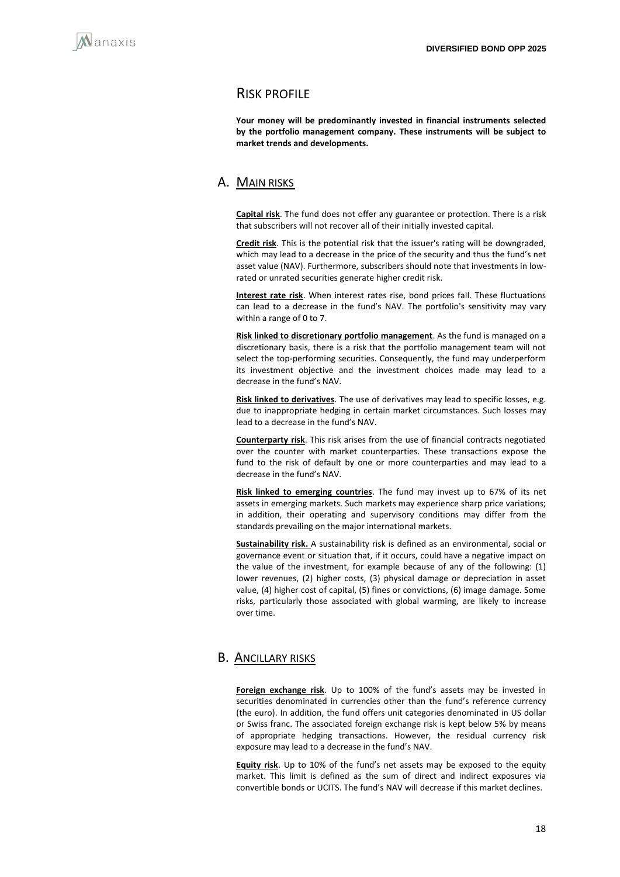

## RISK PROFILE

**Your money will be predominantly invested in financial instruments selected by the portfolio management company. These instruments will be subject to market trends and developments.**

## A. MAIN RISKS

**Capital risk**. The fund does not offer any guarantee or protection. There is a risk that subscribers will not recover all of their initially invested capital.

**Credit risk**. This is the potential risk that the issuer's rating will be downgraded, which may lead to a decrease in the price of the security and thus the fund's net asset value (NAV). Furthermore, subscribers should note that investments in lowrated or unrated securities generate higher credit risk.

**Interest rate risk**. When interest rates rise, bond prices fall. These fluctuations can lead to a decrease in the fund's NAV. The portfolio's sensitivity may vary within a range of 0 to 7.

**Risk linked to discretionary portfolio management**. As the fund is managed on a discretionary basis, there is a risk that the portfolio management team will not select the top-performing securities. Consequently, the fund may underperform its investment objective and the investment choices made may lead to a decrease in the fund's NAV.

**Risk linked to derivatives**. The use of derivatives may lead to specific losses, e.g. due to inappropriate hedging in certain market circumstances. Such losses may lead to a decrease in the fund's NAV.

**Counterparty risk**. This risk arises from the use of financial contracts negotiated over the counter with market counterparties. These transactions expose the fund to the risk of default by one or more counterparties and may lead to a decrease in the fund's NAV.

**Risk linked to emerging countries**. The fund may invest up to 67% of its net assets in emerging markets. Such markets may experience sharp price variations; in addition, their operating and supervisory conditions may differ from the standards prevailing on the major international markets.

**Sustainability risk.** A sustainability risk is defined as an environmental, social or governance event or situation that, if it occurs, could have a negative impact on the value of the investment, for example because of any of the following: (1) lower revenues, (2) higher costs, (3) physical damage or depreciation in asset value, (4) higher cost of capital, (5) fines or convictions, (6) image damage. Some risks, particularly those associated with global warming, are likely to increase over time.

## B. ANCILLARY RISKS

**Foreign exchange risk**. Up to 100% of the fund's assets may be invested in securities denominated in currencies other than the fund's reference currency (the euro). In addition, the fund offers unit categories denominated in US dollar or Swiss franc. The associated foreign exchange risk is kept below 5% by means of appropriate hedging transactions. However, the residual currency risk exposure may lead to a decrease in the fund's NAV.

**Equity risk**. Up to 10% of the fund's net assets may be exposed to the equity market. This limit is defined as the sum of direct and indirect exposures via convertible bonds or UCITS. The fund's NAV will decrease if this market declines.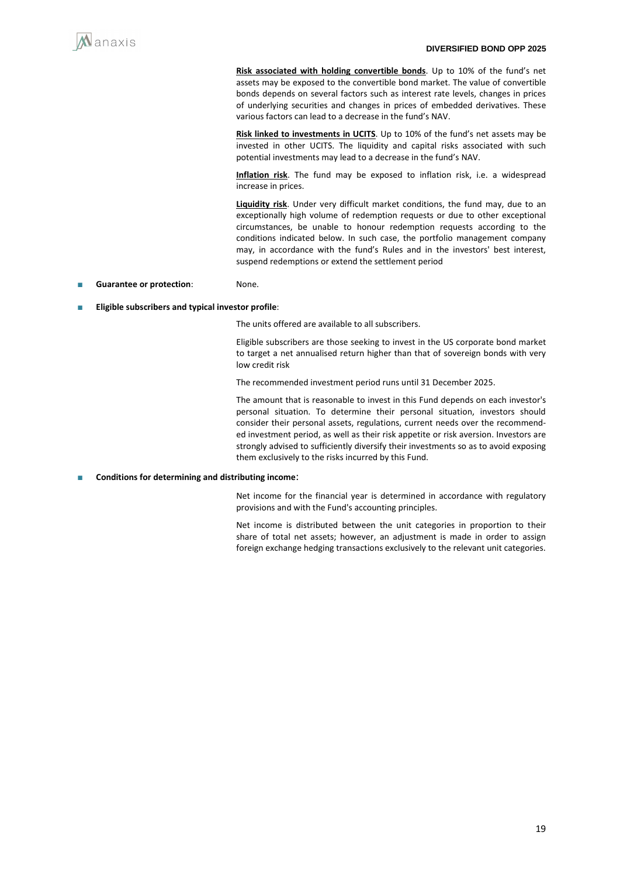

**Risk associated with holding convertible bonds**. Up to 10% of the fund's net assets may be exposed to the convertible bond market. The value of convertible bonds depends on several factors such as interest rate levels, changes in prices of underlying securities and changes in prices of embedded derivatives. These various factors can lead to a decrease in the fund's NAV.

**Risk linked to investments in UCITS**. Up to 10% of the fund's net assets may be invested in other UCITS. The liquidity and capital risks associated with such potential investments may lead to a decrease in the fund's NAV.

**Inflation risk**. The fund may be exposed to inflation risk, i.e. a widespread increase in prices.

**Liquidity risk**. Under very difficult market conditions, the fund may, due to an exceptionally high volume of redemption requests or due to other exceptional circumstances, be unable to honour redemption requests according to the conditions indicated below. In such case, the portfolio management company may, in accordance with the fund's Rules and in the investors' best interest, suspend redemptions or extend the settlement period

- Guarantee or protection: None.
- **Eligible subscribers and typical investor profile:**

The units offered are available to all subscribers.

Eligible subscribers are those seeking to invest in the US corporate bond market to target a net annualised return higher than that of sovereign bonds with very low credit risk

The recommended investment period runs until 31 December 2025.

The amount that is reasonable to invest in this Fund depends on each investor's personal situation. To determine their personal situation, investors should consider their personal assets, regulations, current needs over the recommended investment period, as well as their risk appetite or risk aversion. Investors are strongly advised to sufficiently diversify their investments so as to avoid exposing them exclusively to the risks incurred by this Fund.

#### ■ **Conditions for determining and distributing income**:

Net income for the financial year is determined in accordance with regulatory provisions and with the Fund's accounting principles.

Net income is distributed between the unit categories in proportion to their share of total net assets; however, an adjustment is made in order to assign foreign exchange hedging transactions exclusively to the relevant unit categories.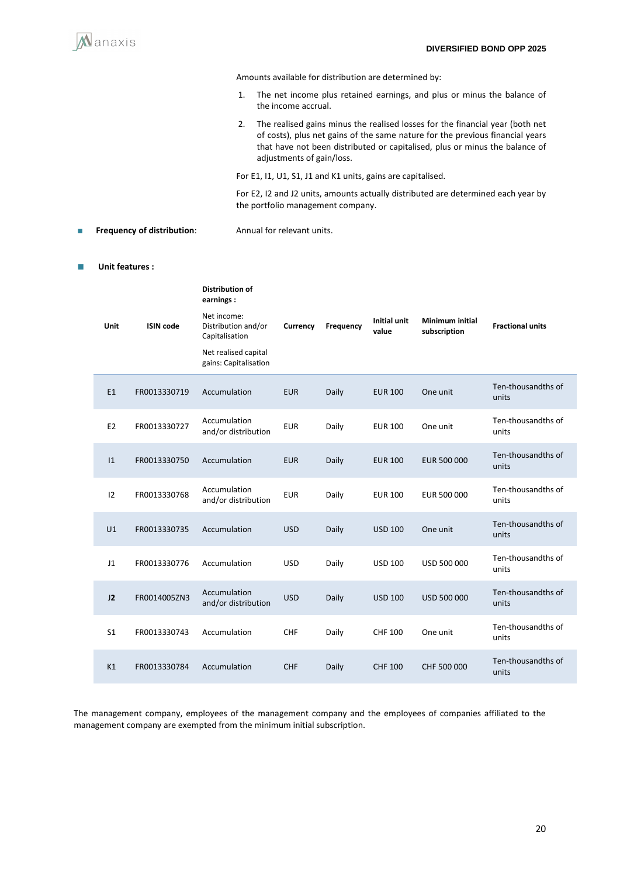

Amounts available for distribution are determined by:

- 1. The net income plus retained earnings, and plus or minus the balance of the income accrual.
- 2. The realised gains minus the realised losses for the financial year (both net of costs), plus net gains of the same nature for the previous financial years that have not been distributed or capitalised, plus or minus the balance of adjustments of gain/loss.

For E1, I1, U1, S1, J1 and K1 units, gains are capitalised.

For E2, I2 and J2 units, amounts actually distributed are determined each year by the portfolio management company.

■ **Frequency of distribution**: Annual for relevant units.

#### ■ **Unit features :**

|                  | <b>Distribution of</b><br>earnings:                  |            |           |                              |                                        |                             |
|------------------|------------------------------------------------------|------------|-----------|------------------------------|----------------------------------------|-----------------------------|
| <b>ISIN</b> code | Net income:<br>Distribution and/or<br>Capitalisation | Currency   | Frequency | <b>Initial unit</b><br>value | <b>Minimum initial</b><br>subscription | <b>Fractional units</b>     |
|                  | Net realised capital<br>gains: Capitalisation        |            |           |                              |                                        |                             |
| FR0013330719     | Accumulation                                         | <b>EUR</b> | Daily     | <b>EUR 100</b>               | One unit                               | Ten-thousandths of<br>units |
| FR0013330727     | Accumulation<br>and/or distribution                  | <b>EUR</b> | Daily     | <b>EUR 100</b>               | One unit                               | Ten-thousandths of<br>units |
| FR0013330750     | Accumulation                                         | <b>EUR</b> | Daily     | <b>EUR 100</b>               | EUR 500 000                            | Ten-thousandths of<br>units |
| FR0013330768     | Accumulation<br>and/or distribution                  | <b>EUR</b> | Daily     | <b>EUR 100</b>               | EUR 500 000                            | Ten-thousandths of<br>units |
| FR0013330735     | Accumulation                                         | <b>USD</b> | Daily     | <b>USD 100</b>               | One unit                               | Ten-thousandths of<br>units |
| FR0013330776     | Accumulation                                         | <b>USD</b> | Daily     | <b>USD 100</b>               | USD 500 000                            | Ten-thousandths of<br>units |
| FR0014005ZN3     | Accumulation<br>and/or distribution                  | <b>USD</b> | Daily     | <b>USD 100</b>               | USD 500 000                            | Ten-thousandths of<br>units |
| FR0013330743     | Accumulation                                         | <b>CHF</b> | Daily     | <b>CHF 100</b>               | One unit                               | Ten-thousandths of<br>units |
| FR0013330784     | Accumulation                                         | <b>CHF</b> | Daily     | <b>CHF 100</b>               | CHF 500 000                            | Ten-thousandths of<br>units |
|                  |                                                      |            |           |                              |                                        |                             |

The management company, employees of the management company and the employees of companies affiliated to the management company are exempted from the minimum initial subscription.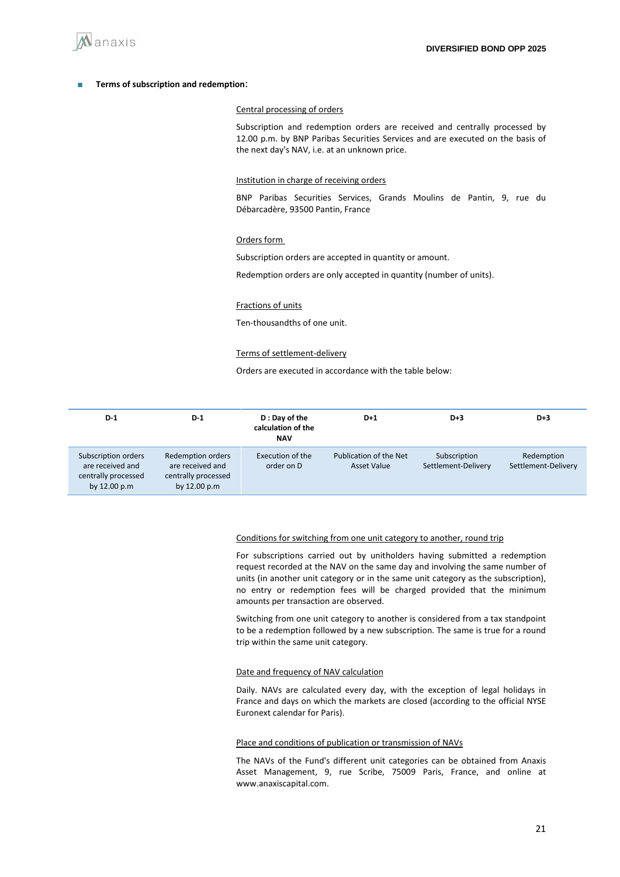

#### ■ **Terms of subscription and redemption**:

#### Central processing of orders

Subscription and redemption orders are received and centrally processed by 12.00 p.m. by BNP Paribas Securities Services and are executed on the basis of the next day's NAV, i.e. at an unknown price.

#### Institution in charge of receiving orders

BNP Paribas Securities Services, Grands Moulins de Pantin, 9, rue du Débarcadère, 93500 Pantin, France

#### Orders form

Subscription orders are accepted in quantity or amount.

Redemption orders are only accepted in quantity (number of units).

#### Fractions of units

Ten-thousandths of one unit.

#### Terms of settlement-delivery

Orders are executed in accordance with the table below:

| $D-1$                                                                          | $D-1$                                                                               | D: Day of the<br>calculation of the<br><b>NAV</b> | D+1                                   | $D+3$                               | $D+3$                             |
|--------------------------------------------------------------------------------|-------------------------------------------------------------------------------------|---------------------------------------------------|---------------------------------------|-------------------------------------|-----------------------------------|
| Subscription orders<br>are received and<br>centrally processed<br>by 12.00 p.m | <b>Redemption orders</b><br>are received and<br>centrally processed<br>by 12.00 p.m | Execution of the<br>order on D                    | Publication of the Net<br>Asset Value | Subscription<br>Settlement-Delivery | Redemption<br>Settlement-Delivery |

#### Conditions for switching from one unit category to another, round trip

For subscriptions carried out by unitholders having submitted a redemption request recorded at the NAV on the same day and involving the same number of units (in another unit category or in the same unit category as the subscription), no entry or redemption fees will be charged provided that the minimum amounts per transaction are observed.

Switching from one unit category to another is considered from a tax standpoint to be a redemption followed by a new subscription. The same is true for a round trip within the same unit category.

#### Date and frequency of NAV calculation

Daily. NAVs are calculated every day, with the exception of legal holidays in France and days on which the markets are closed (according to the official NYSE Euronext calendar for Paris).

#### Place and conditions of publication or transmission of NAVs

The NAVs of the Fund's different unit categories can be obtained from Anaxis Asset Management, 9, rue Scribe, 75009 Paris, France, and online at www.anaxiscapital.com.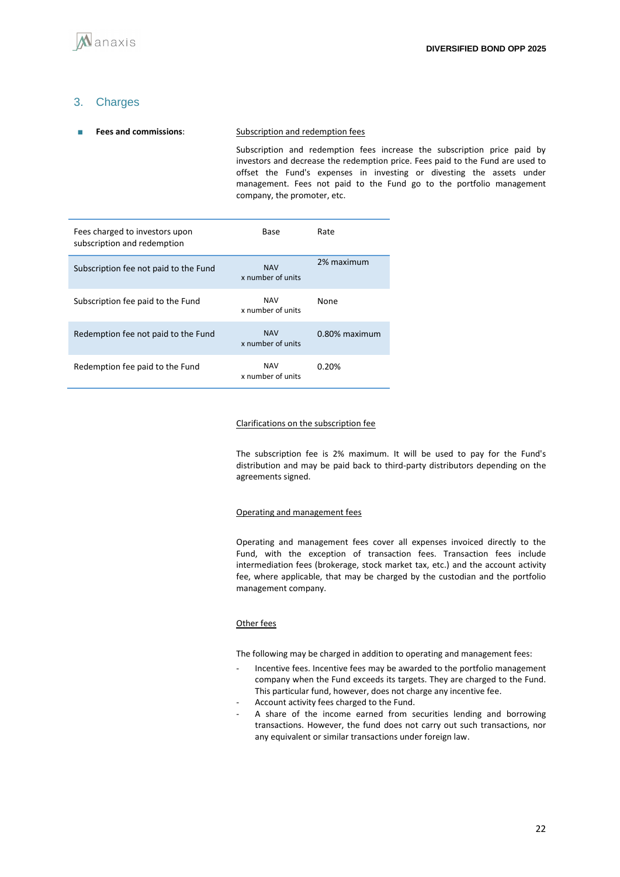## 3. Charges

### ■ **Fees and commissions**: Subscription and redemption fees Subscription and redemption fees increase the subscription price paid by investors and decrease the redemption price. Fees paid to the Fund are used to offset the Fund's expenses in investing or divesting the assets under management. Fees not paid to the Fund go to the portfolio management

company, the promoter, etc.

| Fees charged to investors upon<br>subscription and redemption | Base                            | Rate             |
|---------------------------------------------------------------|---------------------------------|------------------|
| Subscription fee not paid to the Fund                         | <b>NAV</b><br>x number of units | 2% maximum       |
| Subscription fee paid to the Fund                             | <b>NAV</b><br>x number of units | None             |
| Redemption fee not paid to the Fund                           | <b>NAV</b><br>x number of units | $0.80\%$ maximum |
| Redemption fee paid to the Fund                               | <b>NAV</b><br>x number of units | 0.20%            |

#### Clarifications on the subscription fee

The subscription fee is 2% maximum. It will be used to pay for the Fund's distribution and may be paid back to third-party distributors depending on the agreements signed.

#### Operating and management fees

Operating and management fees cover all expenses invoiced directly to the Fund, with the exception of transaction fees. Transaction fees include intermediation fees (brokerage, stock market tax, etc.) and the account activity fee, where applicable, that may be charged by the custodian and the portfolio management company.

#### Other fees

The following may be charged in addition to operating and management fees:

- Incentive fees. Incentive fees may be awarded to the portfolio management company when the Fund exceeds its targets. They are charged to the Fund. This particular fund, however, does not charge any incentive fee.
- Account activity fees charged to the Fund.
- A share of the income earned from securities lending and borrowing transactions. However, the fund does not carry out such transactions, nor any equivalent or similar transactions under foreign law.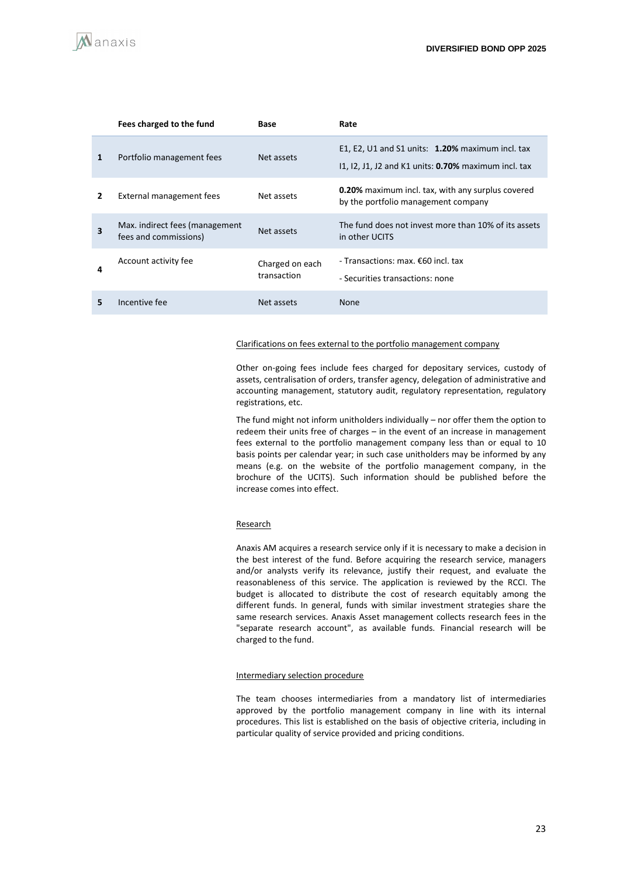

|   | Fees charged to the fund                                | Base                           | Rate                                                                                                        |
|---|---------------------------------------------------------|--------------------------------|-------------------------------------------------------------------------------------------------------------|
| 1 | Portfolio management fees                               | Net assets                     | E1, E2, U1 and S1 units: $1.20\%$ maximum incl. tax<br>11, 12, J1, J2 and K1 units: 0.70% maximum incl. tax |
| 2 | External management fees                                | Net assets                     | <b>0.20%</b> maximum incl. tax, with any surplus covered<br>by the portfolio management company             |
| 3 | Max. indirect fees (management<br>fees and commissions) | Net assets                     | The fund does not invest more than 10% of its assets<br>in other UCITS                                      |
| 4 | Account activity fee                                    | Charged on each<br>transaction | - Transactions: max. €60 incl. tax<br>- Securities transactions: none                                       |
| 5 | Incentive fee                                           | Net assets                     | <b>None</b>                                                                                                 |

#### Clarifications on fees external to the portfolio management company

Other on-going fees include fees charged for depositary services, custody of assets, centralisation of orders, transfer agency, delegation of administrative and accounting management, statutory audit, regulatory representation, regulatory registrations, etc.

The fund might not inform unitholders individually – nor offer them the option to redeem their units free of charges – in the event of an increase in management fees external to the portfolio management company less than or equal to 10 basis points per calendar year; in such case unitholders may be informed by any means (e.g. on the website of the portfolio management company, in the brochure of the UCITS). Such information should be published before the increase comes into effect.

#### Research

Anaxis AM acquires a research service only if it is necessary to make a decision in the best interest of the fund. Before acquiring the research service, managers and/or analysts verify its relevance, justify their request, and evaluate the reasonableness of this service. The application is reviewed by the RCCI. The budget is allocated to distribute the cost of research equitably among the different funds. In general, funds with similar investment strategies share the same research services. Anaxis Asset management collects research fees in the "separate research account", as available funds. Financial research will be charged to the fund.

#### Intermediary selection procedure

The team chooses intermediaries from a mandatory list of intermediaries approved by the portfolio management company in line with its internal procedures. This list is established on the basis of objective criteria, including in particular quality of service provided and pricing conditions.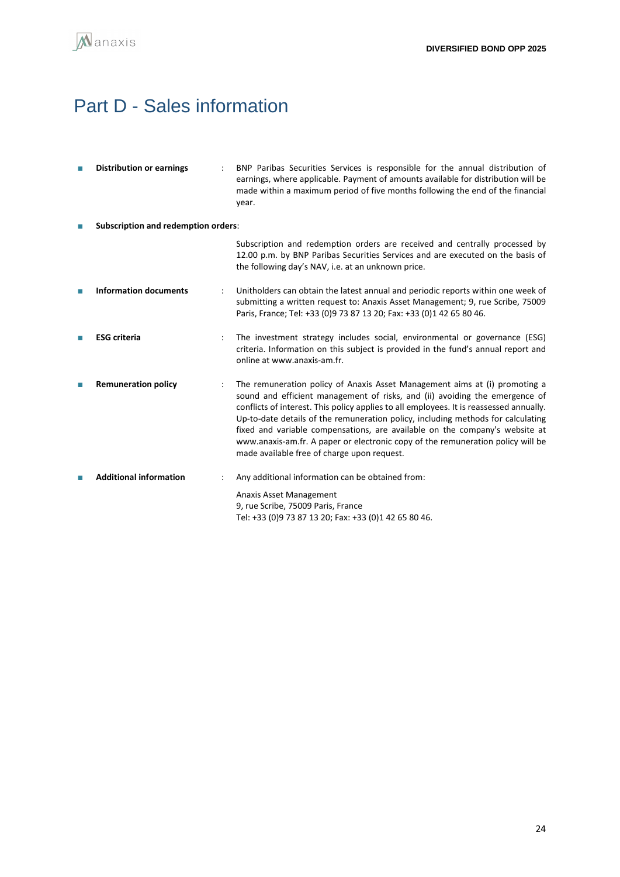

# <span id="page-23-0"></span>Part D - Sales information

| П | <b>Distribution or earnings</b>            |   | BNP Paribas Securities Services is responsible for the annual distribution of<br>earnings, where applicable. Payment of amounts available for distribution will be<br>made within a maximum period of five months following the end of the financial<br>year.                                                                                                                                                                                                                                                                                             |  |  |
|---|--------------------------------------------|---|-----------------------------------------------------------------------------------------------------------------------------------------------------------------------------------------------------------------------------------------------------------------------------------------------------------------------------------------------------------------------------------------------------------------------------------------------------------------------------------------------------------------------------------------------------------|--|--|
|   | <b>Subscription and redemption orders:</b> |   |                                                                                                                                                                                                                                                                                                                                                                                                                                                                                                                                                           |  |  |
|   |                                            |   | Subscription and redemption orders are received and centrally processed by<br>12.00 p.m. by BNP Paribas Securities Services and are executed on the basis of<br>the following day's NAV, i.e. at an unknown price.                                                                                                                                                                                                                                                                                                                                        |  |  |
| П | <b>Information documents</b>               |   | Unitholders can obtain the latest annual and periodic reports within one week of<br>submitting a written request to: Anaxis Asset Management; 9, rue Scribe, 75009<br>Paris, France; Tel: +33 (0)9 73 87 13 20; Fax: +33 (0)1 42 65 80 46.                                                                                                                                                                                                                                                                                                                |  |  |
|   | <b>ESG</b> criteria                        | ÷ | The investment strategy includes social, environmental or governance (ESG)<br>criteria. Information on this subject is provided in the fund's annual report and<br>online at www.anaxis-am.fr.                                                                                                                                                                                                                                                                                                                                                            |  |  |
|   | <b>Remuneration policy</b>                 |   | The remuneration policy of Anaxis Asset Management aims at (i) promoting a<br>sound and efficient management of risks, and (ii) avoiding the emergence of<br>conflicts of interest. This policy applies to all employees. It is reassessed annually.<br>Up-to-date details of the remuneration policy, including methods for calculating<br>fixed and variable compensations, are available on the company's website at<br>www.anaxis-am.fr. A paper or electronic copy of the remuneration policy will be<br>made available free of charge upon request. |  |  |
|   | <b>Additional information</b>              |   | Any additional information can be obtained from:                                                                                                                                                                                                                                                                                                                                                                                                                                                                                                          |  |  |
|   |                                            |   | Anaxis Asset Management<br>9, rue Scribe, 75009 Paris, France<br>Tel: +33 (0)9 73 87 13 20; Fax: +33 (0)1 42 65 80 46.                                                                                                                                                                                                                                                                                                                                                                                                                                    |  |  |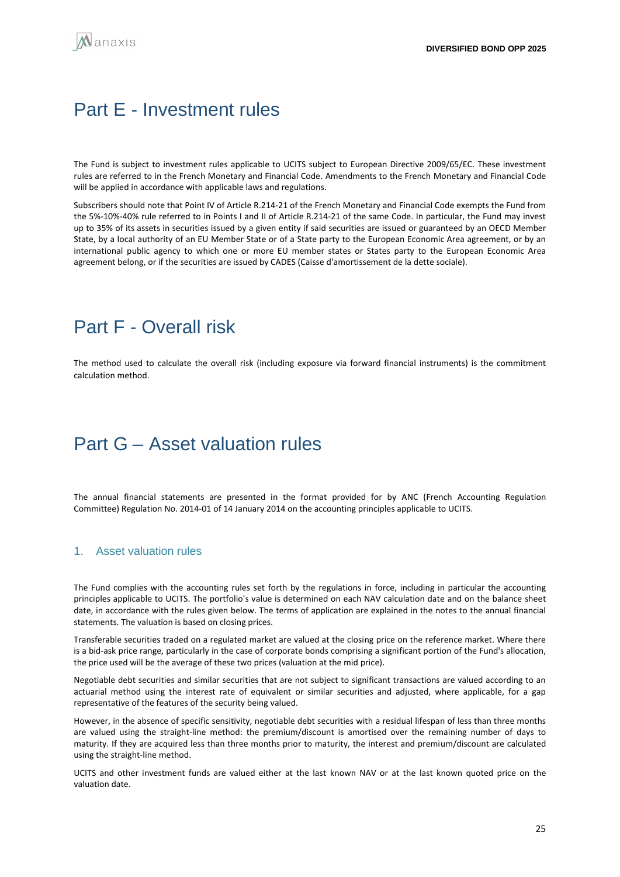# <span id="page-24-0"></span>Part E - Investment rules

The Fund is subject to investment rules applicable to UCITS subject to European Directive 2009/65/EC. These investment rules are referred to in the French Monetary and Financial Code. Amendments to the French Monetary and Financial Code will be applied in accordance with applicable laws and regulations.

Subscribers should note that Point IV of Article R.214-21 of the French Monetary and Financial Code exempts the Fund from the 5%-10%-40% rule referred to in Points I and II of Article R.214-21 of the same Code. In particular, the Fund may invest up to 35% of its assets in securities issued by a given entity if said securities are issued or guaranteed by an OECD Member State, by a local authority of an EU Member State or of a State party to the European Economic Area agreement, or by an international public agency to which one or more EU member states or States party to the European Economic Area agreement belong, or if the securities are issued by CADES (Caisse d'amortissement de la dette sociale).

# <span id="page-24-1"></span>Part F - Overall risk

The method used to calculate the overall risk (including exposure via forward financial instruments) is the commitment calculation method.

# <span id="page-24-2"></span>Part G **–** Asset valuation rules

The annual financial statements are presented in the format provided for by ANC (French Accounting Regulation Committee) Regulation No. 2014-01 of 14 January 2014 on the accounting principles applicable to UCITS.

#### 1. Asset valuation rules

The Fund complies with the accounting rules set forth by the regulations in force, including in particular the accounting principles applicable to UCITS. The portfolio's value is determined on each NAV calculation date and on the balance sheet date, in accordance with the rules given below. The terms of application are explained in the notes to the annual financial statements. The valuation is based on closing prices.

Transferable securities traded on a regulated market are valued at the closing price on the reference market. Where there is a bid-ask price range, particularly in the case of corporate bonds comprising a significant portion of the Fund's allocation, the price used will be the average of these two prices (valuation at the mid price).

Negotiable debt securities and similar securities that are not subject to significant transactions are valued according to an actuarial method using the interest rate of equivalent or similar securities and adjusted, where applicable, for a gap representative of the features of the security being valued.

However, in the absence of specific sensitivity, negotiable debt securities with a residual lifespan of less than three months are valued using the straight-line method: the premium/discount is amortised over the remaining number of days to maturity. If they are acquired less than three months prior to maturity, the interest and premium/discount are calculated using the straight-line method.

UCITS and other investment funds are valued either at the last known NAV or at the last known quoted price on the valuation date.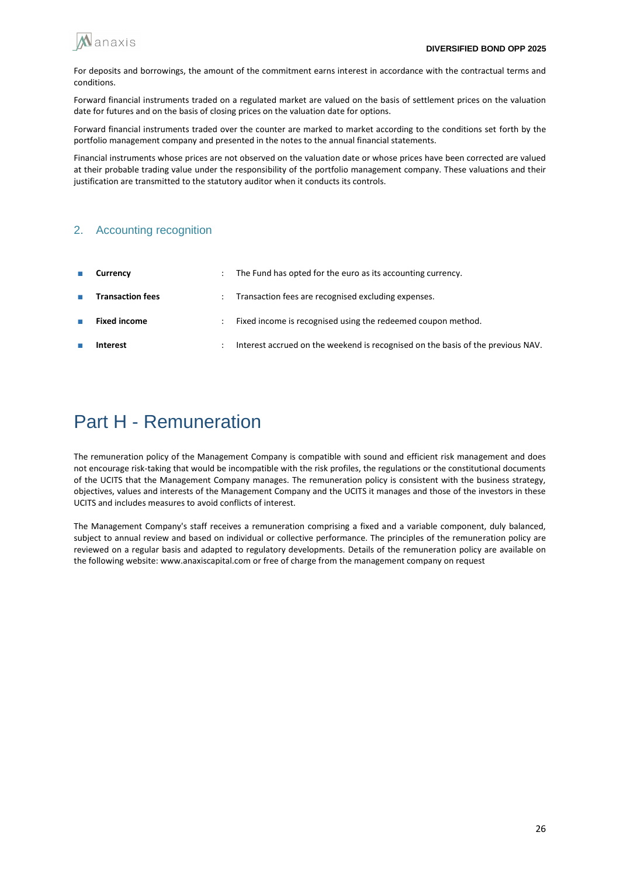

For deposits and borrowings, the amount of the commitment earns interest in accordance with the contractual terms and conditions.

Forward financial instruments traded on a regulated market are valued on the basis of settlement prices on the valuation date for futures and on the basis of closing prices on the valuation date for options.

Forward financial instruments traded over the counter are marked to market according to the conditions set forth by the portfolio management company and presented in the notes to the annual financial statements.

Financial instruments whose prices are not observed on the valuation date or whose prices have been corrected are valued at their probable trading value under the responsibility of the portfolio management company. These valuations and their justification are transmitted to the statutory auditor when it conducts its controls.

## 2. Accounting recognition

| $\mathcal{L}_{\mathcal{A}}$ | Currency                | The Fund has opted for the euro as its accounting currency.                     |
|-----------------------------|-------------------------|---------------------------------------------------------------------------------|
| <b>COL</b>                  | <b>Transaction fees</b> | Transaction fees are recognised excluding expenses.                             |
|                             | <b>Fixed income</b>     | Fixed income is recognised using the redeemed coupon method.                    |
|                             | Interest                | Interest accrued on the weekend is recognised on the basis of the previous NAV. |

# Part H - Remuneration

The remuneration policy of the Management Company is compatible with sound and efficient risk management and does not encourage risk-taking that would be incompatible with the risk profiles, the regulations or the constitutional documents of the UCITS that the Management Company manages. The remuneration policy is consistent with the business strategy, objectives, values and interests of the Management Company and the UCITS it manages and those of the investors in these UCITS and includes measures to avoid conflicts of interest.

The Management Company's staff receives a remuneration comprising a fixed and a variable component, duly balanced, subject to annual review and based on individual or collective performance. The principles of the remuneration policy are reviewed on a regular basis and adapted to regulatory developments. Details of the remuneration policy are available on the following website: www.anaxiscapital.com or free of charge from the management company on request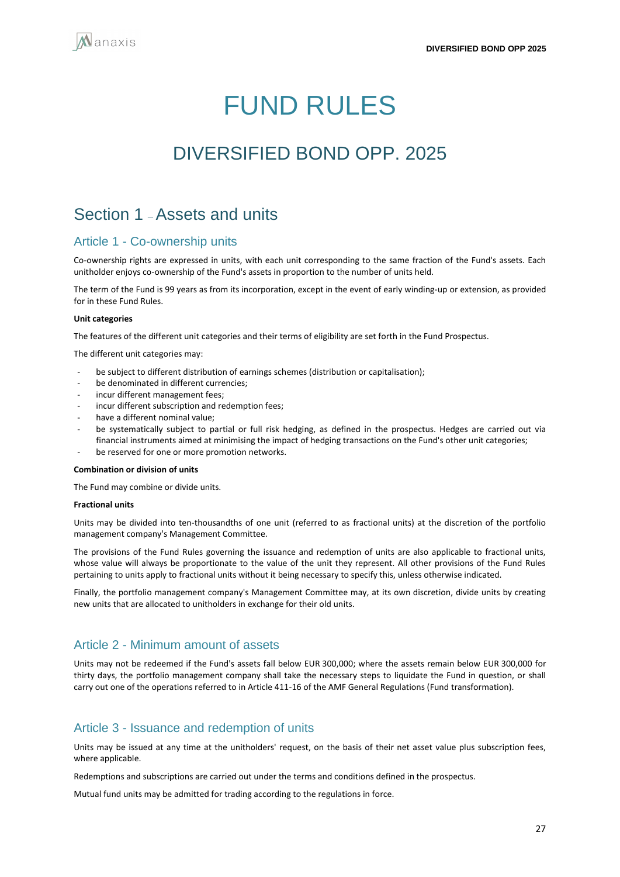# FUND RULES

# <span id="page-26-0"></span>DIVERSIFIED BOND OPP. 2025

## Section 1 –Assets and units

## Article 1 - Co-ownership units

Co-ownership rights are expressed in units, with each unit corresponding to the same fraction of the Fund's assets. Each unitholder enjoys co-ownership of the Fund's assets in proportion to the number of units held.

The term of the Fund is 99 years as from its incorporation, except in the event of early winding-up or extension, as provided for in these Fund Rules.

#### **Unit categories**

The features of the different unit categories and their terms of eligibility are set forth in the Fund Prospectus.

The different unit categories may:

- be subject to different distribution of earnings schemes (distribution or capitalisation);
- be denominated in different currencies:
- incur different management fees:
- incur different subscription and redemption fees;
- have a different nominal value:
- be systematically subject to partial or full risk hedging, as defined in the prospectus. Hedges are carried out via financial instruments aimed at minimising the impact of hedging transactions on the Fund's other unit categories;
- be reserved for one or more promotion networks.

#### **Combination or division of units**

The Fund may combine or divide units.

#### **Fractional units**

Units may be divided into ten-thousandths of one unit (referred to as fractional units) at the discretion of the portfolio management company's Management Committee.

The provisions of the Fund Rules governing the issuance and redemption of units are also applicable to fractional units, whose value will always be proportionate to the value of the unit they represent. All other provisions of the Fund Rules pertaining to units apply to fractional units without it being necessary to specify this, unless otherwise indicated.

Finally, the portfolio management company's Management Committee may, at its own discretion, divide units by creating new units that are allocated to unitholders in exchange for their old units.

## Article 2 - Minimum amount of assets

Units may not be redeemed if the Fund's assets fall below EUR 300,000; where the assets remain below EUR 300,000 for thirty days, the portfolio management company shall take the necessary steps to liquidate the Fund in question, or shall carry out one of the operations referred to in Article 411-16 of the AMF General Regulations (Fund transformation).

#### Article 3 - Issuance and redemption of units

Units may be issued at any time at the unitholders' request, on the basis of their net asset value plus subscription fees, where applicable.

Redemptions and subscriptions are carried out under the terms and conditions defined in the prospectus.

Mutual fund units may be admitted for trading according to the regulations in force.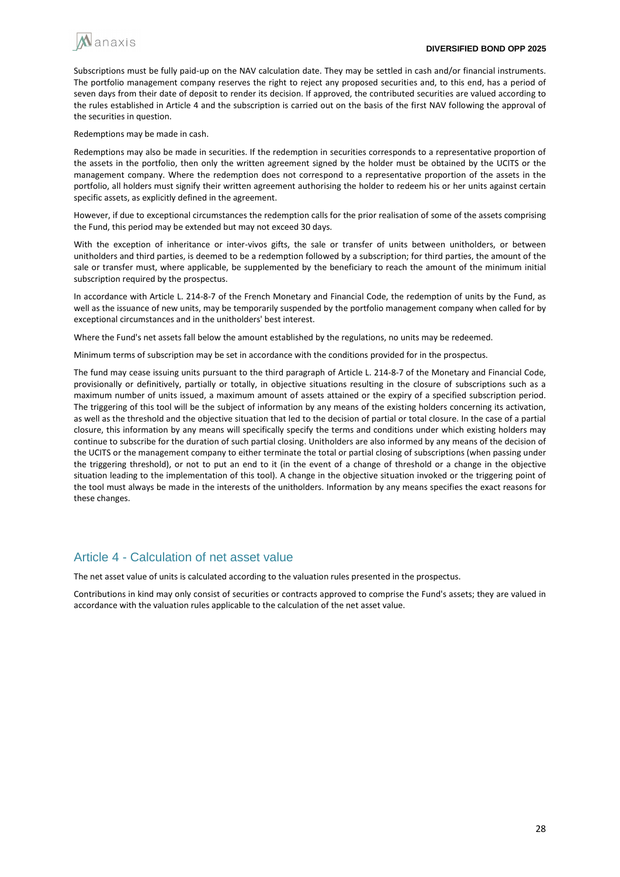

Subscriptions must be fully paid-up on the NAV calculation date. They may be settled in cash and/or financial instruments. The portfolio management company reserves the right to reject any proposed securities and, to this end, has a period of seven days from their date of deposit to render its decision. If approved, the contributed securities are valued according to the rules established in Article 4 and the subscription is carried out on the basis of the first NAV following the approval of the securities in question.

Redemptions may be made in cash.

Redemptions may also be made in securities. If the redemption in securities corresponds to a representative proportion of the assets in the portfolio, then only the written agreement signed by the holder must be obtained by the UCITS or the management company. Where the redemption does not correspond to a representative proportion of the assets in the portfolio, all holders must signify their written agreement authorising the holder to redeem his or her units against certain specific assets, as explicitly defined in the agreement.

However, if due to exceptional circumstances the redemption calls for the prior realisation of some of the assets comprising the Fund, this period may be extended but may not exceed 30 days.

With the exception of inheritance or inter-vivos gifts, the sale or transfer of units between unitholders, or between unitholders and third parties, is deemed to be a redemption followed by a subscription; for third parties, the amount of the sale or transfer must, where applicable, be supplemented by the beneficiary to reach the amount of the minimum initial subscription required by the prospectus.

In accordance with Article L. 214-8-7 of the French Monetary and Financial Code, the redemption of units by the Fund, as well as the issuance of new units, may be temporarily suspended by the portfolio management company when called for by exceptional circumstances and in the unitholders' best interest.

Where the Fund's net assets fall below the amount established by the regulations, no units may be redeemed.

Minimum terms of subscription may be set in accordance with the conditions provided for in the prospectus.

The fund may cease issuing units pursuant to the third paragraph of Article L. 214-8-7 of the Monetary and Financial Code, provisionally or definitively, partially or totally, in objective situations resulting in the closure of subscriptions such as a maximum number of units issued, a maximum amount of assets attained or the expiry of a specified subscription period. The triggering of this tool will be the subject of information by any means of the existing holders concerning its activation, as well as the threshold and the objective situation that led to the decision of partial or total closure. In the case of a partial closure, this information by any means will specifically specify the terms and conditions under which existing holders may continue to subscribe for the duration of such partial closing. Unitholders are also informed by any means of the decision of the UCITS or the management company to either terminate the total or partial closing of subscriptions (when passing under the triggering threshold), or not to put an end to it (in the event of a change of threshold or a change in the objective situation leading to the implementation of this tool). A change in the objective situation invoked or the triggering point of the tool must always be made in the interests of the unitholders. Information by any means specifies the exact reasons for these changes.

## Article 4 - Calculation of net asset value

The net asset value of units is calculated according to the valuation rules presented in the prospectus.

Contributions in kind may only consist of securities or contracts approved to comprise the Fund's assets; they are valued in accordance with the valuation rules applicable to the calculation of the net asset value.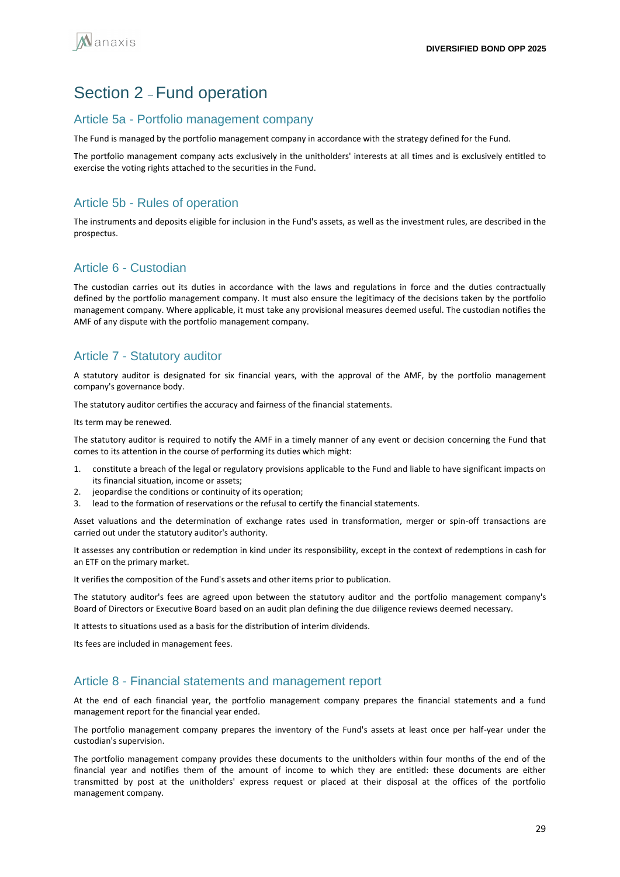## Section 2 – Fund operation

## Article 5a - Portfolio management company

The Fund is managed by the portfolio management company in accordance with the strategy defined for the Fund.

The portfolio management company acts exclusively in the unitholders' interests at all times and is exclusively entitled to exercise the voting rights attached to the securities in the Fund.

## Article 5b - Rules of operation

The instruments and deposits eligible for inclusion in the Fund's assets, as well as the investment rules, are described in the prospectus.

## Article 6 - Custodian

The custodian carries out its duties in accordance with the laws and regulations in force and the duties contractually defined by the portfolio management company. It must also ensure the legitimacy of the decisions taken by the portfolio management company. Where applicable, it must take any provisional measures deemed useful. The custodian notifies the AMF of any dispute with the portfolio management company.

## Article 7 - Statutory auditor

A statutory auditor is designated for six financial years, with the approval of the AMF, by the portfolio management company's governance body.

The statutory auditor certifies the accuracy and fairness of the financial statements.

Its term may be renewed.

The statutory auditor is required to notify the AMF in a timely manner of any event or decision concerning the Fund that comes to its attention in the course of performing its duties which might:

- 1. constitute a breach of the legal or regulatory provisions applicable to the Fund and liable to have significant impacts on its financial situation, income or assets;
- 2. jeopardise the conditions or continuity of its operation;
- 3. lead to the formation of reservations or the refusal to certify the financial statements.

Asset valuations and the determination of exchange rates used in transformation, merger or spin-off transactions are carried out under the statutory auditor's authority.

It assesses any contribution or redemption in kind under its responsibility, except in the context of redemptions in cash for an ETF on the primary market.

It verifies the composition of the Fund's assets and other items prior to publication.

The statutory auditor's fees are agreed upon between the statutory auditor and the portfolio management company's Board of Directors or Executive Board based on an audit plan defining the due diligence reviews deemed necessary.

It attests to situations used as a basis for the distribution of interim dividends.

Its fees are included in management fees.

## Article 8 - Financial statements and management report

At the end of each financial year, the portfolio management company prepares the financial statements and a fund management report for the financial year ended.

The portfolio management company prepares the inventory of the Fund's assets at least once per half-year under the custodian's supervision.

The portfolio management company provides these documents to the unitholders within four months of the end of the financial year and notifies them of the amount of income to which they are entitled: these documents are either transmitted by post at the unitholders' express request or placed at their disposal at the offices of the portfolio management company.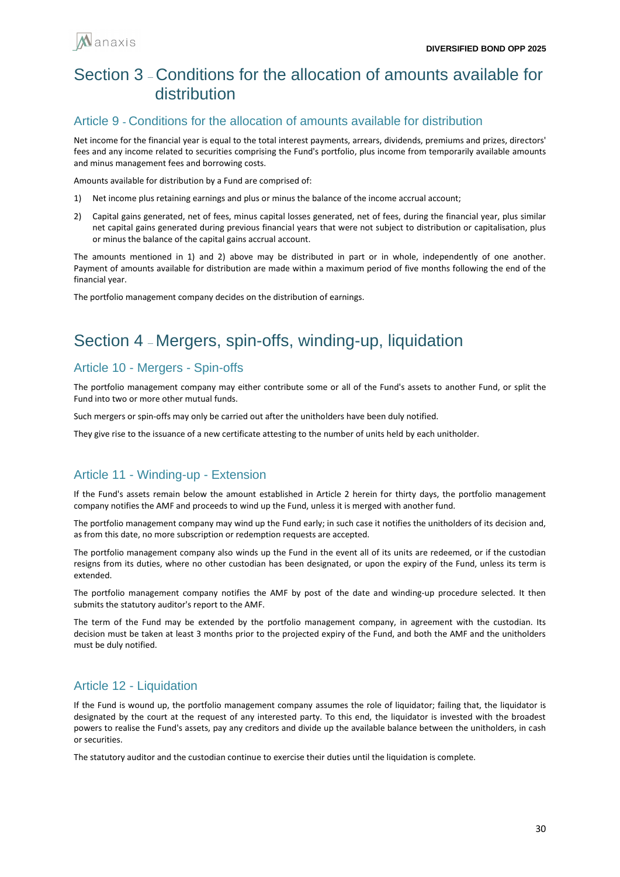

## Section 3 – Conditions for the allocation of amounts available for distribution

## Article 9 **-** Conditions for the allocation of amounts available for distribution

Net income for the financial year is equal to the total interest payments, arrears, dividends, premiums and prizes, directors' fees and any income related to securities comprising the Fund's portfolio, plus income from temporarily available amounts and minus management fees and borrowing costs.

Amounts available for distribution by a Fund are comprised of:

- 1) Net income plus retaining earnings and plus or minus the balance of the income accrual account;
- 2) Capital gains generated, net of fees, minus capital losses generated, net of fees, during the financial year, plus similar net capital gains generated during previous financial years that were not subject to distribution or capitalisation, plus or minus the balance of the capital gains accrual account.

The amounts mentioned in 1) and 2) above may be distributed in part or in whole, independently of one another. Payment of amounts available for distribution are made within a maximum period of five months following the end of the financial year.

The portfolio management company decides on the distribution of earnings.

# Section 4 – Mergers, spin-offs, winding-up, liquidation

## Article 10 - Mergers - Spin-offs

The portfolio management company may either contribute some or all of the Fund's assets to another Fund, or split the Fund into two or more other mutual funds.

Such mergers or spin-offs may only be carried out after the unitholders have been duly notified.

They give rise to the issuance of a new certificate attesting to the number of units held by each unitholder.

## Article 11 - Winding-up - Extension

If the Fund's assets remain below the amount established in Article 2 herein for thirty days, the portfolio management company notifies the AMF and proceeds to wind up the Fund, unless it is merged with another fund.

The portfolio management company may wind up the Fund early; in such case it notifies the unitholders of its decision and, as from this date, no more subscription or redemption requests are accepted.

The portfolio management company also winds up the Fund in the event all of its units are redeemed, or if the custodian resigns from its duties, where no other custodian has been designated, or upon the expiry of the Fund, unless its term is extended.

The portfolio management company notifies the AMF by post of the date and winding-up procedure selected. It then submits the statutory auditor's report to the AMF.

The term of the Fund may be extended by the portfolio management company, in agreement with the custodian. Its decision must be taken at least 3 months prior to the projected expiry of the Fund, and both the AMF and the unitholders must be duly notified.

## Article 12 - Liquidation

If the Fund is wound up, the portfolio management company assumes the role of liquidator; failing that, the liquidator is designated by the court at the request of any interested party. To this end, the liquidator is invested with the broadest powers to realise the Fund's assets, pay any creditors and divide up the available balance between the unitholders, in cash or securities.

The statutory auditor and the custodian continue to exercise their duties until the liquidation is complete.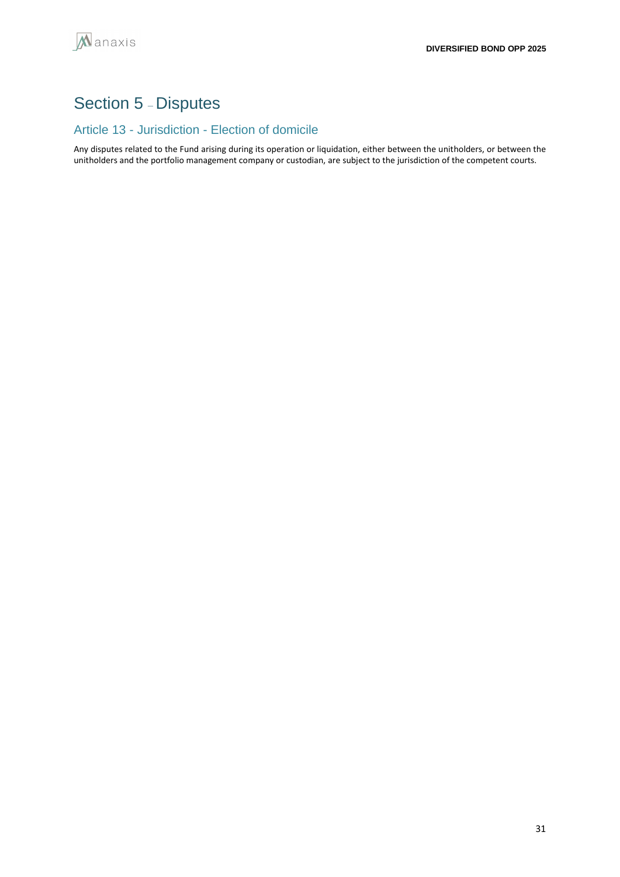# Section 5 – Disputes

## Article 13 - Jurisdiction - Election of domicile

Any disputes related to the Fund arising during its operation or liquidation, either between the unitholders, or between the unitholders and the portfolio management company or custodian, are subject to the jurisdiction of the competent courts.